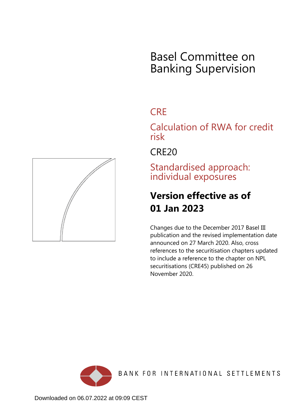

# **CRF**

Calculation of RWA for credit risk

CRE20

Standardised approach: individual exposures

# **Version effective as of 01 Jan 2023**

Changes due to the December 2017 Basel III publication and the revised implementation date announced on 27 March 2020. Also, cross references to the securitisation chapters updated to include a reference to the chapter on NPL securitisations (CRE45) published on 26 November 2020.



<span id="page-0-0"></span>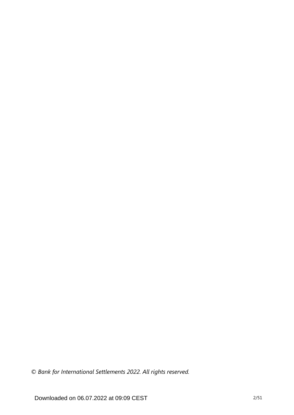*© Bank for International Settlements 2022. All rights reserved.*

Downloaded on 06.07.2022 at 09:09 CEST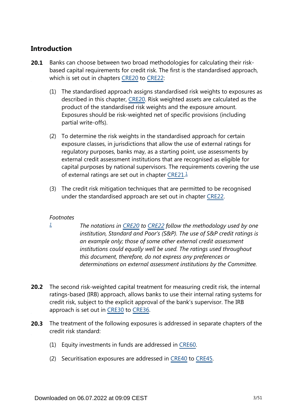# **Introduction**

- Banks can choose between two broad methodologies for calculating their riskbased capital requirements for credit risk. The first is the standardised approach, which is set out in chapters [CRE20](https://www.bis.org/basel_framework/chapter/CRE/20.htm?tldate=20281012&inforce=20230101&published=20201126) to [CRE22](https://www.bis.org/basel_framework/chapter/CRE/22.htm?tldate=20281012&inforce=20230101&published=20201126): **20.1**
	- (1) The standardised approach assigns standardised risk weights to exposures as described in this chapter, [CRE20.](https://www.bis.org/basel_framework/chapter/CRE/20.htm?tldate=20281012&inforce=20230101&published=20201126) Risk weighted assets are calculated as the product of the standardised risk weights and the exposure amount. Exposures should be risk-weighted net of specific provisions (including partial write-offs).
	- (2) To determine the risk weights in the standardised approach for certain exposure classes, in jurisdictions that allow the use of external ratings for regulatory purposes, banks may, as a starting point, use assessments by external credit assessment institutions that are recognised as eligible for capital purposes by national supervisors. The requirements covering the use of external ratings are set out in chapter [CRE21.](https://www.bis.org/basel_framework/chapter/CRE/21.htm?tldate=20281012&inforce=20230101&published=20200327)<sup>[1](#page-2-0)</sup>
	- (3) The credit risk mitigation techniques that are permitted to be recognised under the standardised approach are set out in chapter [CRE22.](https://www.bis.org/basel_framework/chapter/CRE/22.htm?tldate=20281012&inforce=20230101&published=20201126)

## <span id="page-2-1"></span>*Footnotes*

<span id="page-2-0"></span>*[1](#page-2-1)*

- *The notations in [CRE20](https://www.bis.org/basel_framework/chapter/CRE/20.htm?tldate=20281012&inforce=20230101&published=20201126) to [CRE22](https://www.bis.org/basel_framework/chapter/CRE/22.htm?tldate=20281012&inforce=20230101&published=20201126) follow the methodology used by one institution, Standard and Poor's (S&P). The use of S&P credit ratings is an example only; those of some other external credit assessment institutions could equally well be used. The ratings used throughout this document, therefore, do not express any preferences or determinations on external assessment institutions by the Committee.*
- **20.2** The second risk-weighted capital treatment for measuring credit risk, the internal ratings-based (IRB) approach, allows banks to use their internal rating systems for credit risk, subject to the explicit approval of the bank's supervisor. The IRB approach is set out in [CRE30](https://www.bis.org/basel_framework/chapter/CRE/30.htm?tldate=20281012&inforce=20230101&published=20200327) to [CRE36](https://www.bis.org/basel_framework/chapter/CRE/36.htm?tldate=20281012&inforce=20230101&published=20200327).
- The treatment of the following exposures is addressed in separate chapters of the **20.3** credit risk standard:
	- (1) Equity investments in funds are addressed in [CRE60.](https://www.bis.org/basel_framework/chapter/CRE/60.htm?tldate=20281012&inforce=20230101&published=20200327)
	- (2) Securitisation exposures are addressed in [CRE40](https://www.bis.org/basel_framework/chapter/CRE/40.htm?tldate=20281012&inforce=20230101&published=20201126) to [CRE45](https://www.bis.org/basel_framework/chapter/CRE/45.htm?tldate=20281012&inforce=20230101&published=20201126).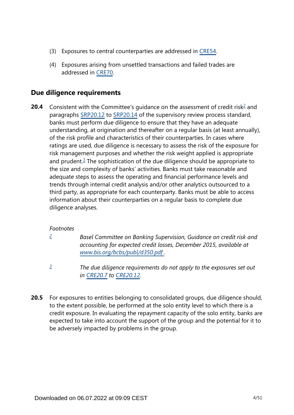- (3) Exposures to central counterparties are addressed in [CRE54.](https://www.bis.org/basel_framework/chapter/CRE/54.htm?tldate=20281012&inforce=20230101&published=20200327)
- (4) Exposures arising from unsettled transactions and failed trades are addressed in [CRE70.](https://www.bis.org/basel_framework/chapter/CRE/70.htm?tldate=20281012&inforce=20191215&published=20191215)

# **Due diligence requirements**

<span id="page-3-3"></span><span id="page-3-2"></span>Consistent with the Committee's guidance on the assessment of credit risk<sup>[2](#page-3-0)</sup> and paragraphs [SRP20.12](https://www.bis.org/basel_framework/chapter/SRP/20.htm?tldate=20281012&inforce=20191215&published=20191215#paragraph_SRP_20_20191215_20_12) to [SRP20.14](https://www.bis.org/basel_framework/chapter/SRP/20.htm?tldate=20281012&inforce=20191215&published=20191215#paragraph_SRP_20_20191215_20_14) of the supervisory review process standard, banks must perform due diligence to ensure that they have an adequate understanding, at origination and thereafter on a regular basis (at least annually), of the risk profile and characteristics of their counterparties. In cases where ratings are used, due diligence is necessary to assess the risk of the exposure for risk management purposes and whether the risk weight applied is appropriate and prudent.<sup>[3](#page-3-1)</sup> The sophistication of the due diligence should be appropriate to the size and complexity of banks' activities. Banks must take reasonable and adequate steps to assess the operating and financial performance levels and trends through internal credit analysis and/or other analytics outsourced to a third party, as appropriate for each counterparty. Banks must be able to access information about their counterparties on a regular basis to complete due diligence analyses. **20.4**

## *Footnotes*

<span id="page-3-0"></span>*[2](#page-3-2)*

*Basel Committee on Banking Supervision, Guidance on credit risk and accounting for expected credit losses, December 2015, available at [www.bis.org/bcbs/publ/d350.pdf](https://www.bis.org/bcbs/publ/d350.pdf) .*

- *The due diligence requirements do not apply to the exposures set out in [CRE20.7](https://www.bis.org/basel_framework/chapter/CRE/20.htm?tldate=20281012&inforce=20230101&published=20201126#paragraph_CRE_20_20230101_20_7) to [CRE20.12.](https://www.bis.org/basel_framework/chapter/CRE/20.htm?tldate=20281012&inforce=20230101&published=20201126#paragraph_CRE_20_20230101_20_12) [3](#page-3-3)*
- <span id="page-3-1"></span>For exposures to entities belonging to consolidated groups, due diligence should, to the extent possible, be performed at the solo entity level to which there is a credit exposure. In evaluating the repayment capacity of the solo entity, banks are expected to take into account the support of the group and the potential for it to be adversely impacted by problems in the group. **20.5**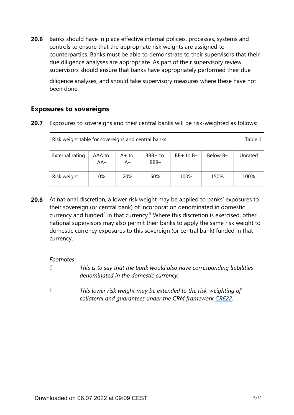Banks should have in place effective internal policies, processes, systems and controls to ensure that the appropriate risk weights are assigned to counterparties. Banks must be able to demonstrate to their supervisors that their due diligence analyses are appropriate. As part of their supervisory review, supervisors should ensure that banks have appropriately performed their due **20.6**

diligence analyses, and should take supervisory measures where these have not been done.

# **Exposures to sovereigns**

**20.7** Exposures to sovereigns and their central banks will be risk-weighted as follows:

| Risk weight table for sovereigns and central banks |                 |                |                 |               |          |         |  |
|----------------------------------------------------|-----------------|----------------|-----------------|---------------|----------|---------|--|
| External rating                                    | AAA to<br>$AA-$ | $A+to$<br>$A-$ | BBB+ to<br>BBB- | $BB+$ to $B-$ | Below B- | Unrated |  |
| Risk weight                                        | 0%              | <b>20%</b>     | 50%             | 100%          | 150%     | 100%    |  |

<span id="page-4-2"></span>At national discretion, a lower risk weight may be applied to banks' exposures to their sovereign (or central bank) of incorporation denominated in domestic currency and funded $4$  in that currency.<sup>[5](#page-4-1)</sup> Where this discretion is exercised, other national supervisors may also permit their banks to apply the same risk weight to domestic currency exposures to this sovereign (or central bank) funded in that currency. **20.8**

*Footnotes*

- <span id="page-4-0"></span>*This is to say that the bank would also have corresponding liabilities denominated in the domestic currency. [4](#page-4-2)*
- <span id="page-4-1"></span>*This lower risk weight may be extended to the risk-weighting of collateral and guarantees under the CRM framework [CRE22.](https://www.bis.org/basel_framework/chapter/CRE/22.htm?tldate=20281012&inforce=20230101&published=20201126) [5](#page-4-2)*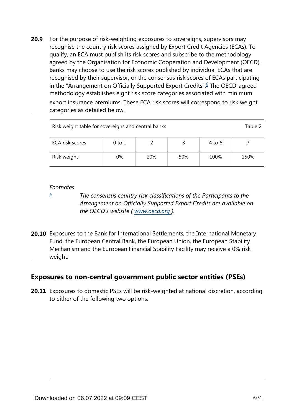<span id="page-5-1"></span>For the purpose of risk-weighting exposures to sovereigns, supervisors may recognise the country risk scores assigned by Export Credit Agencies (ECAs). To qualify, an ECA must publish its risk scores and subscribe to the methodology agreed by the Organisation for Economic Cooperation and Development (OECD). Banks may choose to use the risk scores published by individual ECAs that are recognised by their supervisor, or the consensus risk scores of ECAs participating in the "Arrangement on Officially Supported Export Credits".<sup>[6](#page-5-0)</sup> The OECD-agreed methodology establishes eight risk score categories associated with minimum export insurance premiums. These ECA risk scores will correspond to risk weight categories as detailed below. **20.9**

| Risk weight table for sovereigns and central banks |    |     |     |      |      |  |  |
|----------------------------------------------------|----|-----|-----|------|------|--|--|
| ECA risk scores<br>4 to 6<br>0 to 1                |    |     |     |      |      |  |  |
| Risk weight                                        | 0% | 20% | 50% | 100% | 150% |  |  |

#### *Footnotes*

<span id="page-5-0"></span>*[6](#page-5-1)*

*The consensus country risk classifications of the Participants to the Arrangement on Officially Supported Export Credits are available on the OECD's website ( www.oecd.org ).*

**20.10** Exposures to the Bank for International Settlements, the International Monetary Fund, the European Central Bank, the European Union, the European Stability Mechanism and the European Financial Stability Facility may receive a 0% risk weight.

# **Exposures to non-central government public sector entities (PSEs)**

**20.11** Exposures to domestic PSEs will be risk-weighted at national discretion, according to either of the following two options.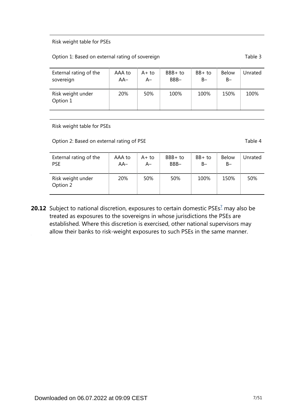#### Risk weight table for PSEs

#### Option 1: Based on external rating of sovereign Table 3

| External rating of the        | AAA to | $A+to$ | $BBB+to$ | $BB+$ to | <b>Below</b> | Jnrated |
|-------------------------------|--------|--------|----------|----------|--------------|---------|
| sovereign                     | $AA-$  | A–     | BBB-     | $B -$    | $B -$        |         |
| Risk weight under<br>Option 1 | 20%    | 50%    | 100%     | 100%     | 150%         | 100%    |

Risk weight table for PSEs

Option 2: Based on external rating of PSE Table 4

| External rating of the        | AAA to | $A+$ to | $BBB+to$ | BB+ to | <b>Below</b> | Unrated |
|-------------------------------|--------|---------|----------|--------|--------------|---------|
| <b>PSE</b>                    | $AA-$  | A–      | BBB-     | B-     | $B -$        |         |
| Risk weight under<br>Option 2 | 20%    | 50%     | 50%      | 100%   | 150%         | 50%     |

<span id="page-6-0"></span>**20.12** Subject to national discretion, exposures to certain domestic PSEs<sup>[7](#page-7-0)</sup> may also be treated as exposures to the sovereigns in whose jurisdictions the PSEs are established. Where this discretion is exercised, other national supervisors may allow their banks to risk-weight exposures to such PSEs in the same manner.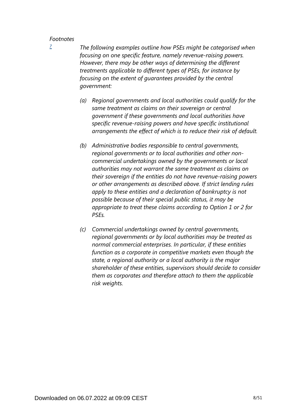<span id="page-7-0"></span>*[7](#page-6-0)*

*The following examples outline how PSEs might be categorised when focusing on one specific feature, namely revenue-raising powers. However, there may be other ways of determining the different treatments applicable to different types of PSEs, for instance by focusing on the extent of guarantees provided by the central government:*

- *(a) Regional governments and local authorities could qualify for the same treatment as claims on their sovereign or central government if these governments and local authorities have specific revenue-raising powers and have specific institutional arrangements the effect of which is to reduce their risk of default.*
- *(b) Administrative bodies responsible to central governments, regional governments or to local authorities and other noncommercial undertakings owned by the governments or local authorities may not warrant the same treatment as claims on their sovereign if the entities do not have revenue-raising powers or other arrangements as described above. If strict lending rules apply to these entities and a declaration of bankruptcy is not possible because of their special public status, it may be appropriate to treat these claims according to Option 1 or 2 for PSEs.*
- *(c) Commercial undertakings owned by central governments, regional governments or by local authorities may be treated as normal commercial enterprises. In particular, if these entities function as a corporate in competitive markets even though the state, a regional authority or a local authority is the major shareholder of these entities, supervisors should decide to consider them as corporates and therefore attach to them the applicable risk weights.*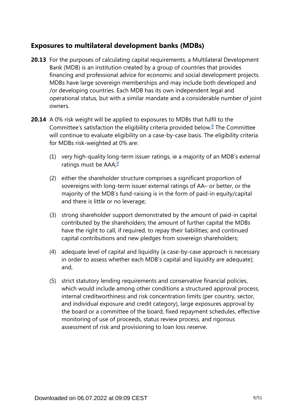# **Exposures to multilateral development banks (MDBs)**

- **20.13** For the purposes of calculating capital requirements, a Multilateral Development Bank (MDB) is an institution created by a group of countries that provides financing and professional advice for economic and social development projects. MDBs have large sovereign memberships and may include both developed and /or developing countries. Each MDB has its own independent legal and operational status, but with a similar mandate and a considerable number of joint owners.
- <span id="page-8-1"></span><span id="page-8-0"></span>**20.14** A 0% risk weight will be applied to exposures to MDBs that fulfil to the Committee's satisfaction the eligibility criteria provided below. $8$  The Committee will continue to evaluate eligibility on a case-by-case basis. The eligibility criteria for MDBs risk-weighted at 0% are:
	- (1) very high-quality long-term issuer ratings, ie a majority of an MDB's external ratings must be  $AAA$ ;<sup>[9](#page-9-1)</sup>
	- (2) either the shareholder structure comprises a significant proportion of sovereigns with long-term issuer external ratings of AA– or better, or the majority of the MDB's fund-raising is in the form of paid-in equity/capital and there is little or no leverage;
	- (3) strong shareholder support demonstrated by the amount of paid-in capital contributed by the shareholders; the amount of further capital the MDBs have the right to call, if required, to repay their liabilities; and continued capital contributions and new pledges from sovereign shareholders;
	- (4) adequate level of capital and liquidity (a case-by-case approach is necessary in order to assess whether each MDB's capital and liquidity are adequate); and,
	- (5) strict statutory lending requirements and conservative financial policies, which would include among other conditions a structured approval process, internal creditworthiness and risk concentration limits (per country, sector, and individual exposure and credit category), large exposures approval by the board or a committee of the board, fixed repayment schedules, effective monitoring of use of proceeds, status review process, and rigorous assessment of risk and provisioning to loan loss reserve.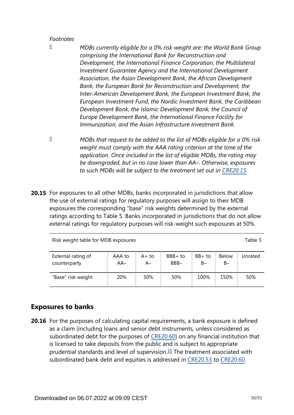<span id="page-9-0"></span>*[8](#page-8-0)*

- *MDBs currently eligible for a 0% risk weight are: the World Bank Group comprising the International Bank for Reconstruction and Development, the International Finance Corporation, the Multilateral Investment Guarantee Agency and the International Development Association, the Asian Development Bank, the African Development Bank, the European Bank for Reconstruction and Development, the Inter-American Development Bank, the European Investment Bank, the European Investment Fund, the Nordic Investment Bank, the Caribbean Development Bank, the Islamic Development Bank, the Council of Europe Development Bank, the International Finance Facility for Immunization, and the Asian Infrastructure Investment Bank.*
- <span id="page-9-1"></span>*MDBs that request to be added to the list of MDBs eligible for a 0% risk weight must comply with the AAA rating criterion at the time of the application. Once included in the list of eligible MDBs, the rating may be downgraded, but in no case lower than AA–. Otherwise, exposures*  to such MDBs will be subject to the treatment set out in [CRE20.15.](https://www.bis.org/basel_framework/chapter/CRE/20.htm?tldate=20281012&inforce=20230101&published=20201126#paragraph_CRE_20_20230101_20_15) *[9](#page-8-1)*
- **20.15** For exposures to all other MDBs, banks incorporated in jurisdictions that allow the use of external ratings for regulatory purposes will assign to their MDB exposures the corresponding "base" risk weights determined by the external ratings according to Table 5. Banks incorporated in jurisdictions that do not allow external ratings for regulatory purposes will risk-weight such exposures at 50%.

Risk weight table for MDB exposures Table 5

| External rating of | AAA to | A+ to | BBB+ to | $BB+$ to | <b>Below</b> | Unrated |
|--------------------|--------|-------|---------|----------|--------------|---------|
| counterparty       | $AA-$  | A–    | BBB-    | B-       | $B-$         |         |
| "Base" risk weight | 20%    | 30%   | 50%     | 100%     | 150%         | 50%     |

# **Exposures to banks**

<span id="page-9-2"></span>**20.16** For the purposes of calculating capital requirements, a bank exposure is defined as a claim (including loans and senior debt instruments, unless considered as subordinated debt for the purposes of [CRE20.60](https://www.bis.org/basel_framework/chapter/CRE/20.htm?tldate=20281012&inforce=20230101&published=20201126#paragraph_CRE_20_20230101_20_60)) on any financial institution that is licensed to take deposits from the public and is subject to appropriate prudential standards and level of supervision. $10$  The treatment associated with subordinated bank debt and equities is addressed in [CRE20.53](https://www.bis.org/basel_framework/chapter/CRE/20.htm?tldate=20281012&inforce=20230101&published=20201126#paragraph_CRE_20_20230101_20_53) to [CRE20.60](https://www.bis.org/basel_framework/chapter/CRE/20.htm?tldate=20281012&inforce=20230101&published=20201126#paragraph_CRE_20_20230101_20_60).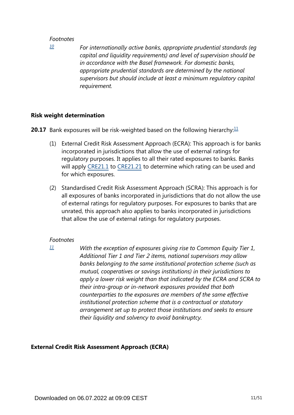<span id="page-10-0"></span>*[10](#page-9-2)*

*For internationally active banks, appropriate prudential standards (eg capital and liquidity requirements) and level of supervision should be in accordance with the Basel framework. For domestic banks, appropriate prudential standards are determined by the national supervisors but should include at least a minimum regulatory capital requirement.*

#### **Risk weight determination**

<span id="page-10-2"></span>**20.17** Bank exposures will be risk-weighted based on the following hierarchy:<sup>[11](#page-10-1)</sup>

- (1) External Credit Risk Assessment Approach (ECRA): This approach is for banks incorporated in jurisdictions that allow the use of external ratings for regulatory purposes. It applies to all their rated exposures to banks. Banks will apply [CRE21.1](https://www.bis.org/basel_framework/chapter/CRE/21.htm?tldate=20281012&inforce=20230101&published=20200327#paragraph_CRE_21_20230101_21_1) to [CRE21.21](https://www.bis.org/basel_framework/chapter/CRE/21.htm?tldate=20281012&inforce=20230101&published=20200327#paragraph_CRE_21_20230101_21_21) to determine which rating can be used and for which exposures.
- (2) Standardised Credit Risk Assessment Approach (SCRA): This approach is for all exposures of banks incorporated in jurisdictions that do not allow the use of external ratings for regulatory purposes. For exposures to banks that are unrated, this approach also applies to banks incorporated in jurisdictions that allow the use of external ratings for regulatory purposes.

#### *Footnotes*

*With the exception of exposures giving rise to Common Equity Tier 1, Additional Tier 1 and Tier 2 items, national supervisors may allow banks belonging to the same institutional protection scheme (such as mutual, cooperatives or savings institutions) in their jurisdictions to apply a lower risk weight than that indicated by the ECRA and SCRA to their intra-group or in-network exposures provided that both counterparties to the exposures are members of the same effective institutional protection scheme that is a contractual or statutory arrangement set up to protect those institutions and seeks to ensure their liquidity and solvency to avoid bankruptcy.*

## **External Credit Risk Assessment Approach (ECRA)**

<span id="page-10-1"></span>*[<sup>11</sup>](#page-10-2)*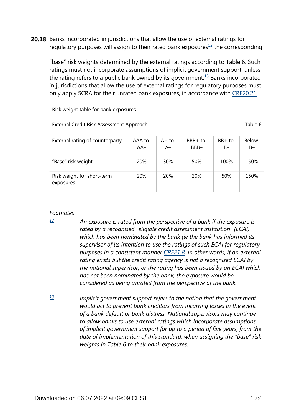<span id="page-11-3"></span><span id="page-11-2"></span>**20.18** Banks incorporated in jurisdictions that allow the use of external ratings for regulatory purposes will assign to their rated bank exposures $1/2$  the corresponding

"base" risk weights determined by the external ratings according to Table 6. Such ratings must not incorporate assumptions of implicit government support, unless the rating refers to a public bank owned by its government.<sup>[13](#page-11-1)</sup> Banks incorporated in jurisdictions that allow the use of external ratings for regulatory purposes must only apply SCRA for their unrated bank exposures, in accordance with [CRE20.21.](https://www.bis.org/basel_framework/chapter/CRE/20.htm?tldate=20281012&inforce=20230101&published=20201126#paragraph_CRE_20_20230101_20_21)

Risk weight table for bank exposures

External Credit Risk Assessment Approach Table 6

| External rating of counterparty         | AAA to<br>AA- | A+ to<br>$A-$ | BBB+ to<br>BBB- | $BB+$ to<br>$B -$ | <b>Below</b><br>$B-$ |
|-----------------------------------------|---------------|---------------|-----------------|-------------------|----------------------|
| "Base" risk weight                      | 20%           | 30%           | 50%             | 100%              | 150%                 |
| Risk weight for short-term<br>exposures | 20%           | <b>20%</b>    | <b>20%</b>      | 50%               | 150%                 |

#### *Footnotes*

<span id="page-11-0"></span>*[12](#page-11-2)*

- *An exposure is rated from the perspective of a bank if the exposure is rated by a recognised "eligible credit assessment institution" (ECAI) which has been nominated by the bank (ie the bank has informed its supervisor of its intention to use the ratings of such ECAI for regulatory purposes in a consistent manner [CRE21.8](https://www.bis.org/basel_framework/chapter/CRE/21.htm?tldate=20281012&inforce=20230101&published=20200327#paragraph_CRE_21_20230101_21_8). In other words, if an external rating exists but the credit rating agency is not a recognised ECAI by the national supervisor, or the rating has been issued by an ECAI which has not been nominated by the bank, the exposure would be considered as being unrated from the perspective of the bank.*
- <span id="page-11-1"></span>*Implicit government support refers to the notion that the government would act to prevent bank creditors from incurring losses in the event of a bank default or bank distress. National supervisors may continue to allow banks to use external ratings which incorporate assumptions of implicit government support for up to a period of five years, from the date of implementation of this standard, when assigning the "base" risk weights in Table 6 to their bank exposures. [13](#page-11-3)*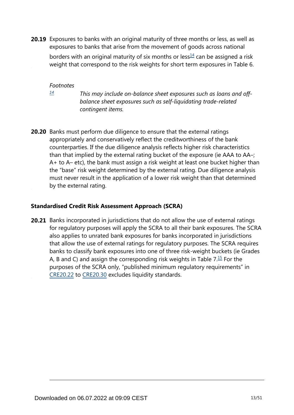<span id="page-12-1"></span>**20.19** Exposures to banks with an original maturity of three months or less, as well as exposures to banks that arise from the movement of goods across national

borders with an original maturity of six months or less $\frac{14}{1}$  $\frac{14}{1}$  $\frac{14}{1}$  can be assigned a risk weight that correspond to the risk weights for short term exposures in Table 6.

*Footnotes*

<span id="page-12-0"></span>*[14](#page-12-1)*

*This may include on-balance sheet exposures such as loans and offbalance sheet exposures such as self-liquidating trade-related contingent items.*

**20.20** Banks must perform due diligence to ensure that the external ratings appropriately and conservatively reflect the creditworthiness of the bank counterparties. If the due diligence analysis reflects higher risk characteristics than that implied by the external rating bucket of the exposure (ie AAA to AA–; A+ to A– etc), the bank must assign a risk weight at least one bucket higher than the "base" risk weight determined by the external rating. Due diligence analysis must never result in the application of a lower risk weight than that determined by the external rating.

## **Standardised Credit Risk Assessment Approach (SCRA)**

<span id="page-12-2"></span>**20.21** Banks incorporated in jurisdictions that do not allow the use of external ratings for regulatory purposes will apply the SCRA to all their bank exposures. The SCRA also applies to unrated bank exposures for banks incorporated in jurisdictions that allow the use of external ratings for regulatory purposes. The SCRA requires banks to classify bank exposures into one of three risk-weight buckets (ie Grades A, B and C) and assign the corresponding risk weights in Table  $7.\overline{15}$  $7.\overline{15}$  $7.\overline{15}$  For the purposes of the SCRA only, "published minimum regulatory requirements" in [CRE20.22](https://www.bis.org/basel_framework/chapter/CRE/20.htm?tldate=20281012&inforce=20230101&published=20201126#paragraph_CRE_20_20230101_20_22) to [CRE20.30](https://www.bis.org/basel_framework/chapter/CRE/20.htm?tldate=20281012&inforce=20230101&published=20201126#paragraph_CRE_20_20230101_20_30) excludes liquidity standards.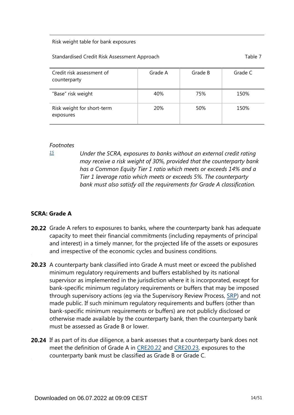#### Risk weight table for bank exposures

#### Standardised Credit Risk Assessment Approach Table 7 and Table 7

| Credit risk assessment of<br>counterparty | Grade A    | Grade B | Grade C |
|-------------------------------------------|------------|---------|---------|
| "Base" risk weight                        | 40%        | 75%     | 150%    |
| Risk weight for short-term<br>exposures   | <b>20%</b> | 50%     | 150%    |

#### *Footnotes*

<span id="page-13-0"></span>*[15](#page-12-2)*

*Under the SCRA, exposures to banks without an external credit rating may receive a risk weight of 30%, provided that the counterparty bank has a Common Equity Tier 1 ratio which meets or exceeds 14% and a Tier 1 leverage ratio which meets or exceeds 5%. The counterparty bank must also satisfy all the requirements for Grade A classification.*

## **SCRA: Grade A**

- **20.22** Grade A refers to exposures to banks, where the counterparty bank has adequate capacity to meet their financial commitments (including repayments of principal and interest) in a timely manner, for the projected life of the assets or exposures and irrespective of the economic cycles and business conditions.
- **20.23** A counterparty bank classified into Grade A must meet or exceed the published minimum regulatory requirements and buffers established by its national supervisor as implemented in the jurisdiction where it is incorporated, except for bank-specific minimum regulatory requirements or buffers that may be imposed through supervisory actions (eg via the Supervisory Review Process, [SRP\)](https://www.bis.org/basel_framework/standard/SRP.htm?tldate=20281012) and not made public. If such minimum regulatory requirements and buffers (other than bank-specific minimum requirements or buffers) are not publicly disclosed or otherwise made available by the counterparty bank, then the counterparty bank must be assessed as Grade B or lower.
- **20.24** If as part of its due diligence, a bank assesses that a counterparty bank does not meet the definition of Grade A in [CRE20.22](https://www.bis.org/basel_framework/chapter/CRE/20.htm?tldate=20281012&inforce=20230101&published=20201126#paragraph_CRE_20_20230101_20_22) and [CRE20.23](https://www.bis.org/basel_framework/chapter/CRE/20.htm?tldate=20281012&inforce=20230101&published=20201126#paragraph_CRE_20_20230101_20_23), exposures to the counterparty bank must be classified as Grade B or Grade C.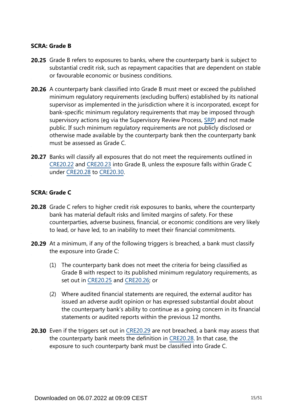### **SCRA: Grade B**

- **20.25** Grade B refers to exposures to banks, where the counterparty bank is subject to substantial credit risk, such as repayment capacities that are dependent on stable or favourable economic or business conditions.
- **20.26** A counterparty bank classified into Grade B must meet or exceed the published minimum regulatory requirements (excluding buffers) established by its national supervisor as implemented in the jurisdiction where it is incorporated, except for bank-specific minimum regulatory requirements that may be imposed through supervisory actions (eg via the Supervisory Review Process, [SRP\)](https://www.bis.org/basel_framework/standard/SRP.htm?tldate=20281012) and not made public. If such minimum regulatory requirements are not publicly disclosed or otherwise made available by the counterparty bank then the counterparty bank must be assessed as Grade C.
- **20.27** Banks will classify all exposures that do not meet the requirements outlined in [CRE20.22](https://www.bis.org/basel_framework/chapter/CRE/20.htm?tldate=20281012&inforce=20230101&published=20201126#paragraph_CRE_20_20230101_20_22) and [CRE20.23](https://www.bis.org/basel_framework/chapter/CRE/20.htm?tldate=20281012&inforce=20230101&published=20201126#paragraph_CRE_20_20230101_20_23) into Grade B, unless the exposure falls within Grade C under [CRE20.28](https://www.bis.org/basel_framework/chapter/CRE/20.htm?tldate=20281012&inforce=20230101&published=20201126#paragraph_CRE_20_20230101_20_28) to [CRE20.30.](https://www.bis.org/basel_framework/chapter/CRE/20.htm?tldate=20281012&inforce=20230101&published=20201126#paragraph_CRE_20_20230101_20_30)

#### **SCRA: Grade C**

- **20.28** Grade C refers to higher credit risk exposures to banks, where the counterparty bank has material default risks and limited margins of safety. For these counterparties, adverse business, financial, or economic conditions are very likely to lead, or have led, to an inability to meet their financial commitments.
- **20.29** At a minimum, if any of the following triggers is breached, a bank must classify the exposure into Grade C:
	- (1) The counterparty bank does not meet the criteria for being classified as Grade B with respect to its published minimum regulatory requirements, as set out in [CRE20.25](https://www.bis.org/basel_framework/chapter/CRE/20.htm?tldate=20281012&inforce=20230101&published=20201126#paragraph_CRE_20_20230101_20_25) and [CRE20.26](https://www.bis.org/basel_framework/chapter/CRE/20.htm?tldate=20281012&inforce=20230101&published=20201126#paragraph_CRE_20_20230101_20_26); or
	- (2) Where audited financial statements are required, the external auditor has issued an adverse audit opinion or has expressed substantial doubt about the counterparty bank's ability to continue as a going concern in its financial statements or audited reports within the previous 12 months.
- **20.30** Even if the triggers set out in [CRE20.29](https://www.bis.org/basel_framework/chapter/CRE/20.htm?tldate=20281012&inforce=20230101&published=20201126#paragraph_CRE_20_20230101_20_29) are not breached, a bank may assess that the counterparty bank meets the definition in [CRE20.28](https://www.bis.org/basel_framework/chapter/CRE/20.htm?tldate=20281012&inforce=20230101&published=20201126#paragraph_CRE_20_20230101_20_28). In that case, the exposure to such counterparty bank must be classified into Grade C.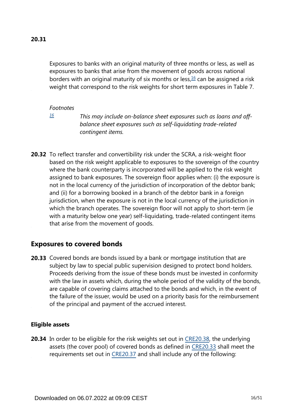<span id="page-15-1"></span>Exposures to banks with an original maturity of three months or less, as well as exposures to banks that arise from the movement of goods across national borders with an original maturity of six months or less, $16$  can be assigned a risk weight that correspond to the risk weights for short term exposures in Table 7.

#### *Footnotes*

<span id="page-15-0"></span>*[16](#page-15-1)*

*This may include on-balance sheet exposures such as loans and offbalance sheet exposures such as self-liquidating trade-related contingent items.*

**20.32** To reflect transfer and convertibility risk under the SCRA, a risk-weight floor based on the risk weight applicable to exposures to the sovereign of the country where the bank counterparty is incorporated will be applied to the risk weight assigned to bank exposures. The sovereign floor applies when: (i) the exposure is not in the local currency of the jurisdiction of incorporation of the debtor bank; and (ii) for a borrowing booked in a branch of the debtor bank in a foreign jurisdiction, when the exposure is not in the local currency of the jurisdiction in which the branch operates. The sovereign floor will not apply to short-term (ie with a maturity below one year) self-liquidating, trade-related contingent items that arise from the movement of goods.

# **Exposures to covered bonds**

**20.33** Covered bonds are bonds issued by a bank or mortgage institution that are subject by law to special public supervision designed to protect bond holders. Proceeds deriving from the issue of these bonds must be invested in conformity with the law in assets which, during the whole period of the validity of the bonds, are capable of covering claims attached to the bonds and which, in the event of the failure of the issuer, would be used on a priority basis for the reimbursement of the principal and payment of the accrued interest.

## **Eligible assets**

**20.34** In order to be eligible for the risk weights set out in [CRE20.38,](https://www.bis.org/basel_framework/chapter/CRE/20.htm?tldate=20281012&inforce=20230101&published=20201126#paragraph_CRE_20_20230101_20_38) the underlying assets (the cover pool) of covered bonds as defined in [CRE20.33](https://www.bis.org/basel_framework/chapter/CRE/20.htm?tldate=20281012&inforce=20230101&published=20201126#paragraph_CRE_20_20230101_20_33) shall meet the requirements set out in [CRE20.37](https://www.bis.org/basel_framework/chapter/CRE/20.htm?tldate=20281012&inforce=20230101&published=20201126#paragraph_CRE_20_20230101_20_37) and shall include any of the following: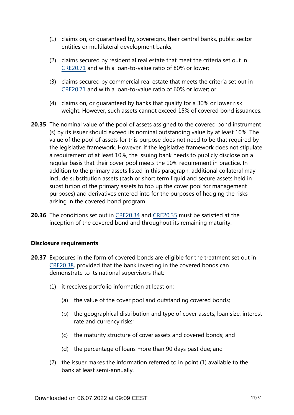- (1) claims on, or guaranteed by, sovereigns, their central banks, public sector entities or multilateral development banks;
- (2) claims secured by residential real estate that meet the criteria set out in [CRE20.71](https://www.bis.org/basel_framework/chapter/CRE/20.htm?tldate=20281012&inforce=20230101&published=20201126#paragraph_CRE_20_20230101_20_71) and with a loan-to-value ratio of 80% or lower;
- (3) claims secured by commercial real estate that meets the criteria set out in [CRE20.71](https://www.bis.org/basel_framework/chapter/CRE/20.htm?tldate=20281012&inforce=20230101&published=20201126#paragraph_CRE_20_20230101_20_71) and with a loan-to-value ratio of 60% or lower; or
- (4) claims on, or guaranteed by banks that qualify for a 30% or lower risk weight. However, such assets cannot exceed 15% of covered bond issuances.
- **20.35** The nominal value of the pool of assets assigned to the covered bond instrument (s) by its issuer should exceed its nominal outstanding value by at least 10%. The value of the pool of assets for this purpose does not need to be that required by the legislative framework. However, if the legislative framework does not stipulate a requirement of at least 10%, the issuing bank needs to publicly disclose on a regular basis that their cover pool meets the 10% requirement in practice. In addition to the primary assets listed in this paragraph, additional collateral may include substitution assets (cash or short term liquid and secure assets held in substitution of the primary assets to top up the cover pool for management purposes) and derivatives entered into for the purposes of hedging the risks arising in the covered bond program.
- **20.36** The conditions set out in [CRE20.34](https://www.bis.org/basel_framework/chapter/CRE/20.htm?tldate=20281012&inforce=20230101&published=20201126#paragraph_CRE_20_20230101_20_34) and [CRE20.35](https://www.bis.org/basel_framework/chapter/CRE/20.htm?tldate=20281012&inforce=20230101&published=20201126#paragraph_CRE_20_20230101_20_35) must be satisfied at the inception of the covered bond and throughout its remaining maturity.

## **Disclosure requirements**

- **20.37** Exposures in the form of covered bonds are eligible for the treatment set out in [CRE20.38](https://www.bis.org/basel_framework/chapter/CRE/20.htm?tldate=20281012&inforce=20230101&published=20201126#paragraph_CRE_20_20230101_20_38), provided that the bank investing in the covered bonds can demonstrate to its national supervisors that:
	- (1) it receives portfolio information at least on:
		- (a) the value of the cover pool and outstanding covered bonds;
		- (b) the geographical distribution and type of cover assets, loan size, interest rate and currency risks;
		- (c) the maturity structure of cover assets and covered bonds; and
		- (d) the percentage of loans more than 90 days past due; and
	- (2) the issuer makes the information referred to in point (1) available to the bank at least semi-annually.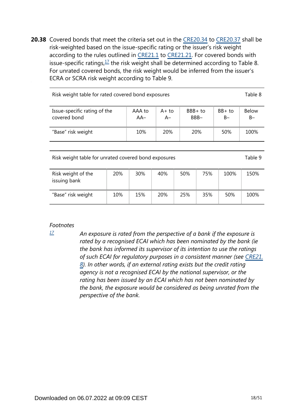<span id="page-17-1"></span>**20.38** Covered bonds that meet the criteria set out in the [CRE20.34](https://www.bis.org/basel_framework/chapter/CRE/20.htm?tldate=20281012&inforce=20230101&published=20201126#paragraph_CRE_20_20230101_20_34) to [CRE20.37](https://www.bis.org/basel_framework/chapter/CRE/20.htm?tldate=20281012&inforce=20230101&published=20201126#paragraph_CRE_20_20230101_20_37) shall be risk-weighted based on the issue-specific rating or the issuer's risk weight according to the rules outlined in [CRE21.1](https://www.bis.org/basel_framework/chapter/CRE/21.htm?tldate=20281012&inforce=20230101&published=20200327#paragraph_CRE_21_20230101_21_1) to [CRE21.21](https://www.bis.org/basel_framework/chapter/CRE/21.htm?tldate=20281012&inforce=20230101&published=20200327#paragraph_CRE_21_20230101_21_21). For covered bonds with issue-specific ratings,  $\frac{17}{1}$  $\frac{17}{1}$  $\frac{17}{1}$  the risk weight shall be determined according to Table 8. For unrated covered bonds, the risk weight would be inferred from the issuer's ECRA or SCRA risk weight according to Table 9.

| Risk weight table for rated covered bond exposures |                 |                |                    |                   |                       |  |  |  |
|----------------------------------------------------|-----------------|----------------|--------------------|-------------------|-----------------------|--|--|--|
| Issue-specific rating of the<br>covered bond       | AAA to<br>$AA-$ | $A+to$<br>$A-$ | $BBB + to$<br>BBB- | $BB+$ to<br>$B -$ | <b>Below</b><br>$B -$ |  |  |  |
| "Base" risk weight                                 | 10%             | <b>20%</b>     | <b>20%</b>         | 50%               | 100%                  |  |  |  |
|                                                    |                 |                |                    |                   |                       |  |  |  |

Risk weight table for unrated covered bond exposures Table 9

| Risk weight of the<br>issuing bank | 20% | 30% | 40% | 50% | 75% | 100% | 150% |
|------------------------------------|-----|-----|-----|-----|-----|------|------|
| "Base" risk weight                 | 10% | 15% | 20% | 25% | 35% | 50%  | 100% |

#### *Footnotes*

<span id="page-17-0"></span>*[17](#page-17-1)*

*An exposure is rated from the perspective of a bank if the exposure is rated by a recognised ECAI which has been nominated by the bank (ie the bank has informed its supervisor of its intention to use the ratings of such ECAI for regulatory purposes in a consistent manner (see [CRE21.](https://www.bis.org/basel_framework/chapter/CRE/21.htm?tldate=20281012&inforce=20230101&published=20200327#paragraph_CRE_21_20230101_21_8) [8](https://www.bis.org/basel_framework/chapter/CRE/21.htm?tldate=20281012&inforce=20230101&published=20200327#paragraph_CRE_21_20230101_21_8)). In other words, if an external rating exists but the credit rating agency is not a recognised ECAI by the national supervisor, or the rating has been issued by an ECAI which has not been nominated by the bank, the exposure would be considered as being unrated from the perspective of the bank.*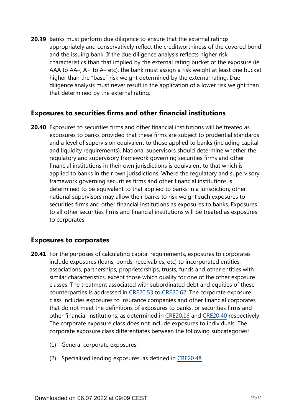**20.39** Banks must perform due diligence to ensure that the external ratings appropriately and conservatively reflect the creditworthiness of the covered bond and the issuing bank. If the due diligence analysis reflects higher risk characteristics than that implied by the external rating bucket of the exposure (ie AAA to AA–; A+ to A– etc), the bank must assign a risk weight at least one bucket higher than the "base" risk weight determined by the external rating. Due diligence analysis must never result in the application of a lower risk weight than that determined by the external rating.

# **Exposures to securities firms and other financial institutions**

**20.40** Exposures to securities firms and other financial institutions will be treated as exposures to banks provided that these firms are subject to prudential standards and a level of supervision equivalent to those applied to banks (including capital and liquidity requirements). National supervisors should determine whether the regulatory and supervisory framework governing securities firms and other financial institutions in their own jurisdictions is equivalent to that which is applied to banks in their own jurisdictions. Where the regulatory and supervisory framework governing securities firms and other financial institutions is determined to be equivalent to that applied to banks in a jurisdiction, other national supervisors may allow their banks to risk weight such exposures to securities firms and other financial institutions as exposures to banks. Exposures to all other securities firms and financial institutions will be treated as exposures to corporates.

# **Exposures to corporates**

- **20.41** For the purposes of calculating capital requirements, exposures to corporates include exposures (loans, bonds, receivables, etc) to incorporated entities, associations, partnerships, proprietorships, trusts, funds and other entities with similar characteristics, except those which qualify for one of the other exposure classes. The treatment associated with subordinated debt and equities of these counterparties is addressed in [CRE20.53](https://www.bis.org/basel_framework/chapter/CRE/20.htm?tldate=20281012&inforce=20230101&published=20201126#paragraph_CRE_20_20230101_20_53) to [CRE20.62](https://www.bis.org/basel_framework/chapter/CRE/20.htm?tldate=20281012&inforce=20230101&published=20201126#paragraph_CRE_20_20230101_20_62). The corporate exposure class includes exposures to insurance companies and other financial corporates that do not meet the definitions of exposures to banks, or securities firms and other financial institutions, as determined in [CRE20.16](https://www.bis.org/basel_framework/chapter/CRE/20.htm?tldate=20281012&inforce=20230101&published=20201126#paragraph_CRE_20_20230101_20_16) and [CRE20.40](https://www.bis.org/basel_framework/chapter/CRE/20.htm?tldate=20281012&inforce=20230101&published=20201126#paragraph_CRE_20_20230101_20_40) respectively. The corporate exposure class does not include exposures to individuals. The corporate exposure class differentiates between the following subcategories:
	- (1) General corporate exposures;
	- (2) Specialised lending exposures, as defined in [CRE20.48](https://www.bis.org/basel_framework/chapter/CRE/20.htm?tldate=20281012&inforce=20230101&published=20201126#paragraph_CRE_20_20230101_20_48).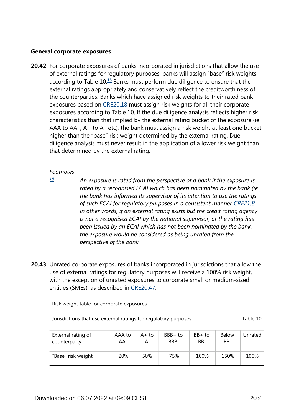#### **General corporate exposures**

<span id="page-19-1"></span>**20.42** For corporate exposures of banks incorporated in jurisdictions that allow the use of external ratings for regulatory purposes, banks will assign "base" risk weights according to Table  $10<sup>18</sup>$  $10<sup>18</sup>$  $10<sup>18</sup>$  Banks must perform due diligence to ensure that the external ratings appropriately and conservatively reflect the creditworthiness of the counterparties. Banks which have assigned risk weights to their rated bank exposures based on [CRE20.18](https://www.bis.org/basel_framework/chapter/CRE/20.htm?tldate=20281012&inforce=20230101&published=20201126#paragraph_CRE_20_20230101_20_18) must assign risk weights for all their corporate exposures according to Table 10. If the due diligence analysis reflects higher risk characteristics than that implied by the external rating bucket of the exposure (ie AAA to AA–; A+ to A– etc), the bank must assign a risk weight at least one bucket higher than the "base" risk weight determined by the external rating. Due diligence analysis must never result in the application of a lower risk weight than that determined by the external rating.

#### *Footnotes*

<span id="page-19-0"></span>*[18](#page-19-1)*

*An exposure is rated from the perspective of a bank if the exposure is rated by a recognised ECAI which has been nominated by the bank (ie the bank has informed its supervisor of its intention to use the ratings of such ECAI for regulatory purposes in a consistent manner [CRE21.8](https://www.bis.org/basel_framework/chapter/CRE/21.htm?tldate=20281012&inforce=20230101&published=20200327#paragraph_CRE_21_20230101_21_8). In other words, if an external rating exists but the credit rating agency is not a recognised ECAI by the national supervisor, or the rating has been issued by an ECAI which has not been nominated by the bank, the exposure would be considered as being unrated from the perspective of the bank.*

**20.43** Unrated corporate exposures of banks incorporated in jurisdictions that allow the use of external ratings for regulatory purposes will receive a 100% risk weight, with the exception of unrated exposures to corporate small or medium-sized entities (SMEs), as described in [CRE20.47](https://www.bis.org/basel_framework/chapter/CRE/20.htm?tldate=20281012&inforce=20230101&published=20201126#paragraph_CRE_20_20230101_20_47).

Risk weight table for corporate exposures

| Jurisdictions that use external ratings for regulatory purposes | Table 10 |
|-----------------------------------------------------------------|----------|
|-----------------------------------------------------------------|----------|

| External rating of | AAA to | $A+to$ | $BBB + to$ | BB+ to | <b>Below</b> | Unrated |
|--------------------|--------|--------|------------|--------|--------------|---------|
| counterparty       | AA–    | А–     | BBB-       | $BB -$ | $BB -$       |         |
| "Base" risk weight | 20%    | 50%    | 75%        | 100%   | 150%         | 100%    |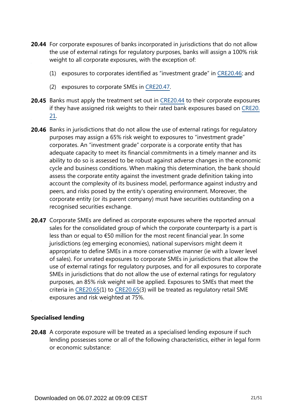- **20.44** For corporate exposures of banks incorporated in jurisdictions that do not allow the use of external ratings for regulatory purposes, banks will assign a 100% risk weight to all corporate exposures, with the exception of:
	- (1) exposures to corporates identified as "investment grade" in [CRE20.46;](https://www.bis.org/basel_framework/chapter/CRE/20.htm?tldate=20281012&inforce=20230101&published=20201126#paragraph_CRE_20_20230101_20_46) and
	- (2) exposures to corporate SMEs in [CRE20.47.](https://www.bis.org/basel_framework/chapter/CRE/20.htm?tldate=20281012&inforce=20230101&published=20201126#paragraph_CRE_20_20230101_20_47)
- **20.45** Banks must apply the treatment set out in [CRE20.44](https://www.bis.org/basel_framework/chapter/CRE/20.htm?tldate=20281012&inforce=20230101&published=20201126#paragraph_CRE_20_20230101_20_44) to their corporate exposures if they have assigned risk weights to their rated bank exposures based on [CRE20.](https://www.bis.org/basel_framework/chapter/CRE/20.htm?tldate=20281012&inforce=20230101&published=20201126#paragraph_CRE_20_20230101_20_21) [21](https://www.bis.org/basel_framework/chapter/CRE/20.htm?tldate=20281012&inforce=20230101&published=20201126#paragraph_CRE_20_20230101_20_21).
- **20.46** Banks in jurisdictions that do not allow the use of external ratings for regulatory purposes may assign a 65% risk weight to exposures to "investment grade" corporates. An "investment grade" corporate is a corporate entity that has adequate capacity to meet its financial commitments in a timely manner and its ability to do so is assessed to be robust against adverse changes in the economic cycle and business conditions. When making this determination, the bank should assess the corporate entity against the investment grade definition taking into account the complexity of its business model, performance against industry and peers, and risks posed by the entity's operating environment. Moreover, the corporate entity (or its parent company) must have securities outstanding on a recognised securities exchange.
- 20.47 Corporate SMEs are defined as corporate exposures where the reported annual sales for the consolidated group of which the corporate counterparty is a part is less than or equal to €50 million for the most recent financial year. In some jurisdictions (eg emerging economies), national supervisors might deem it appropriate to define SMEs in a more conservative manner (ie with a lower level of sales). For unrated exposures to corporate SMEs in jurisdictions that allow the use of external ratings for regulatory purposes, and for all exposures to corporate SMEs in jurisdictions that do not allow the use of external ratings for regulatory purposes, an 85% risk weight will be applied. Exposures to SMEs that meet the criteria in [CRE20.65\(](https://www.bis.org/basel_framework/chapter/CRE/20.htm?tldate=20281012&inforce=20230101&published=20201126#paragraph_CRE_20_20230101_20_65)1) to [CRE20.65](https://www.bis.org/basel_framework/chapter/CRE/20.htm?tldate=20281012&inforce=20230101&published=20201126#paragraph_CRE_20_20230101_20_65)(3) will be treated as regulatory retail SME exposures and risk weighted at 75%.

## **Specialised lending**

**20.48** A corporate exposure will be treated as a specialised lending exposure if such lending possesses some or all of the following characteristics, either in legal form or economic substance: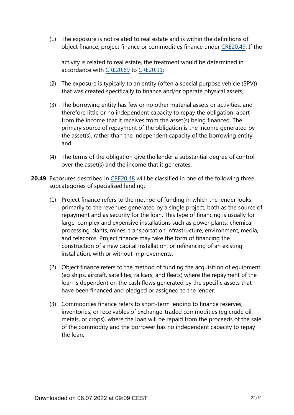(1) The exposure is not related to real estate and is within the definitions of object finance, project finance or commodities finance under [CRE20.49.](https://www.bis.org/basel_framework/chapter/CRE/20.htm?tldate=20281012&inforce=20230101&published=20201126#paragraph_CRE_20_20230101_20_49) If the

activity is related to real estate, the treatment would be determined in accordance with [CRE20.69](https://www.bis.org/basel_framework/chapter/CRE/20.htm?tldate=20281012&inforce=20230101&published=20201126#paragraph_CRE_20_20230101_20_69) to [CRE20.91;](https://www.bis.org/basel_framework/chapter/CRE/20.htm?tldate=20281012&inforce=20230101&published=20201126#paragraph_CRE_20_20230101_20_91)

- (2) The exposure is typically to an entity (often a special purpose vehicle (SPV)) that was created specifically to finance and/or operate physical assets;
- (3) The borrowing entity has few or no other material assets or activities, and therefore little or no independent capacity to repay the obligation, apart from the income that it receives from the asset(s) being financed. The primary source of repayment of the obligation is the income generated by the asset(s), rather than the independent capacity of the borrowing entity; and
- (4) The terms of the obligation give the lender a substantial degree of control over the asset(s) and the income that it generates.
- **20.49** Exposures described in [CRE20.48](https://www.bis.org/basel_framework/chapter/CRE/20.htm?tldate=20281012&inforce=20230101&published=20201126#paragraph_CRE_20_20230101_20_48) will be classified in one of the following three subcategories of specialised lending:
	- (1) Project finance refers to the method of funding in which the lender looks primarily to the revenues generated by a single project, both as the source of repayment and as security for the loan. This type of financing is usually for large, complex and expensive installations such as power plants, chemical processing plants, mines, transportation infrastructure, environment, media, and telecoms. Project finance may take the form of financing the construction of a new capital installation, or refinancing of an existing installation, with or without improvements.
	- (2) Object finance refers to the method of funding the acquisition of equipment (eg ships, aircraft, satellites, railcars, and fleets) where the repayment of the loan is dependent on the cash flows generated by the specific assets that have been financed and pledged or assigned to the lender.
	- (3) Commodities finance refers to short-term lending to finance reserves, inventories, or receivables of exchange-traded commodities (eg crude oil, metals, or crops), where the loan will be repaid from the proceeds of the sale of the commodity and the borrower has no independent capacity to repay the loan.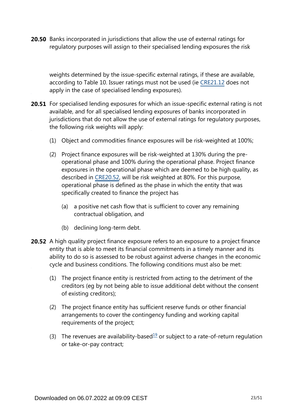**20.50** Banks incorporated in jurisdictions that allow the use of external ratings for regulatory purposes will assign to their specialised lending exposures the risk

weights determined by the issue-specific external ratings, if these are available, according to Table 10. Issuer ratings must not be used (ie [CRE21.12](https://www.bis.org/basel_framework/chapter/CRE/21.htm?tldate=20281012&inforce=20230101&published=20200327#paragraph_CRE_21_20230101_21_12) does not apply in the case of specialised lending exposures).

- **20.51** For specialised lending exposures for which an issue-specific external rating is not available, and for all specialised lending exposures of banks incorporated in jurisdictions that do not allow the use of external ratings for regulatory purposes, the following risk weights will apply:
	- (1) Object and commodities finance exposures will be risk-weighted at 100%;
	- (2) Project finance exposures will be risk-weighted at 130% during the preoperational phase and 100% during the operational phase. Project finance exposures in the operational phase which are deemed to be high quality, as described in [CRE20.52](https://www.bis.org/basel_framework/chapter/CRE/20.htm?tldate=20281012&inforce=20230101&published=20201126#paragraph_CRE_20_20230101_20_52), will be risk weighted at 80%. For this purpose, operational phase is defined as the phase in which the entity that was specifically created to finance the project has
		- (a) a positive net cash flow that is sufficient to cover any remaining contractual obligation, and
		- (b) declining long-term debt.
- <span id="page-22-0"></span>**20.52** A high quality project finance exposure refers to an exposure to a project finance entity that is able to meet its financial commitments in a timely manner and its ability to do so is assessed to be robust against adverse changes in the economic cycle and business conditions. The following conditions must also be met:
	- (1) The project finance entity is restricted from acting to the detriment of the creditors (eg by not being able to issue additional debt without the consent of existing creditors);
	- (2) The project finance entity has sufficient reserve funds or other financial arrangements to cover the contingency funding and working capital requirements of the project;
	- (3) The revenues are availability-based<sup>[19](#page-23-0)</sup> or subject to a rate-of-return regulation or take-or-pay contract;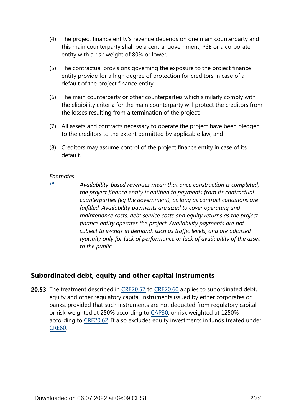- (4) The project finance entity's revenue depends on one main counterparty and this main counterparty shall be a central government, PSE or a corporate entity with a risk weight of 80% or lower;
- (5) The contractual provisions governing the exposure to the project finance entity provide for a high degree of protection for creditors in case of a default of the project finance entity;
- (6) The main counterparty or other counterparties which similarly comply with the eligibility criteria for the main counterparty will protect the creditors from the losses resulting from a termination of the project;
- (7) All assets and contracts necessary to operate the project have been pledged to the creditors to the extent permitted by applicable law; and
- (8) Creditors may assume control of the project finance entity in case of its default.

<span id="page-23-0"></span>*[19](#page-22-0)*

*Availability-based revenues mean that once construction is completed, the project finance entity is entitled to payments from its contractual counterparties (eg the government), as long as contract conditions are fulfilled. Availability payments are sized to cover operating and maintenance costs, debt service costs and equity returns as the project finance entity operates the project. Availability payments are not subject to swings in demand, such as traffic levels, and are adjusted typically only for lack of performance or lack of availability of the asset to the public.*

# **Subordinated debt, equity and other capital instruments**

**20.53** The treatment described in [CRE20.57](https://www.bis.org/basel_framework/chapter/CRE/20.htm?tldate=20281012&inforce=20230101&published=20201126#paragraph_CRE_20_20230101_20_57) to [CRE20.60](https://www.bis.org/basel_framework/chapter/CRE/20.htm?tldate=20281012&inforce=20230101&published=20201126#paragraph_CRE_20_20230101_20_60) applies to subordinated debt, equity and other regulatory capital instruments issued by either corporates or banks, provided that such instruments are not deducted from regulatory capital or risk-weighted at 250% according to [CAP30](https://www.bis.org/basel_framework/chapter/CAP/30.htm?tldate=20281012&inforce=20191215&published=20191215), or risk weighted at 1250% according to [CRE20.62](https://www.bis.org/basel_framework/chapter/CRE/20.htm?tldate=20281012&inforce=20230101&published=20201126#paragraph_CRE_20_20230101_20_62). It also excludes equity investments in funds treated under [CRE60.](https://www.bis.org/basel_framework/chapter/CRE/60.htm?tldate=20281012&inforce=20230101&published=20200327)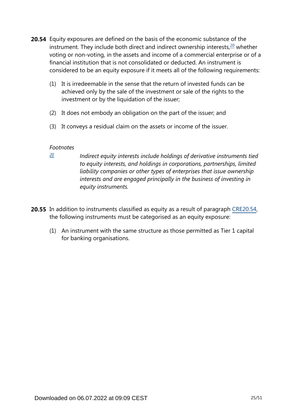- <span id="page-24-1"></span>**20.54** Equity exposures are defined on the basis of the economic substance of the instrument. They include both direct and indirect ownership interests, $20$  whether voting or non-voting, in the assets and income of a commercial enterprise or of a financial institution that is not consolidated or deducted. An instrument is considered to be an equity exposure if it meets all of the following requirements:
	- (1) It is irredeemable in the sense that the return of invested funds can be achieved only by the sale of the investment or sale of the rights to the investment or by the liquidation of the issuer;
	- (2) It does not embody an obligation on the part of the issuer; and
	- (3) It conveys a residual claim on the assets or income of the issuer.

<span id="page-24-0"></span>*[20](#page-24-1)*

*Indirect equity interests include holdings of derivative instruments tied to equity interests, and holdings in corporations, partnerships, limited liability companies or other types of enterprises that issue ownership interests and are engaged principally in the business of investing in equity instruments.*

- **20.55** In addition to instruments classified as equity as a result of paragraph [CRE20.54](https://www.bis.org/basel_framework/chapter/CRE/20.htm?tldate=20281012&inforce=20230101&published=20201126#paragraph_CRE_20_20230101_20_54), the following instruments must be categorised as an equity exposure:
	- (1) An instrument with the same structure as those permitted as Tier 1 capital for banking organisations.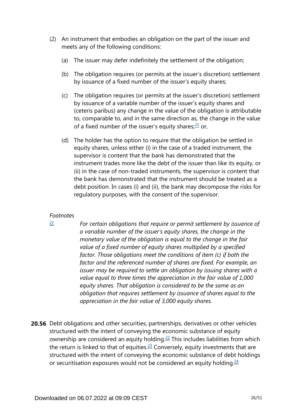- <span id="page-25-1"></span>(2) An instrument that embodies an obligation on the part of the issuer and meets any of the following conditions:
	- (a) The issuer may defer indefinitely the settlement of the obligation;
	- (b) The obligation requires (or permits at the issuer's discretion) settlement by issuance of a fixed number of the issuer's equity shares;
	- (c) The obligation requires (or permits at the issuer's discretion) settlement by issuance of a variable number of the issuer's equity shares and (ceteris paribus) any change in the value of the obligation is attributable to, comparable to, and in the same direction as, the change in the value of a fixed number of the issuer's equity shares; $21$  or,
	- (d) The holder has the option to require that the obligation be settled in equity shares, unless either (i) in the case of a traded instrument, the supervisor is content that the bank has demonstrated that the instrument trades more like the debt of the issuer than like its equity, or (ii) in the case of non-traded instruments, the supervisor is content that the bank has demonstrated that the instrument should be treated as a debt position. In cases (i) and (ii), the bank may decompose the risks for regulatory purposes, with the consent of the supervisor.

<span id="page-25-0"></span>*[21](#page-25-1)*

*For certain obligations that require or permit settlement by issuance of a variable number of the issuer's equity shares, the change in the monetary value of the obligation is equal to the change in the fair value of a fixed number of equity shares multiplied by a specified factor. Those obligations meet the conditions of item (c) if both the factor and the referenced number of shares are fixed. For example, an issuer may be required to settle an obligation by issuing shares with a value equal to three times the appreciation in the fair value of 1,000 equity shares. That obligation is considered to be the same as an obligation that requires settlement by issuance of shares equal to the appreciation in the fair value of 3,000 equity shares.*

<span id="page-25-4"></span><span id="page-25-3"></span><span id="page-25-2"></span>**20.56** Debt obligations and other securities, partnerships, derivatives or other vehicles structured with the intent of conveying the economic substance of equity ownership are considered an equity holding.<sup>[22](#page-26-0)</sup> This includes liabilities from which the return is linked to that of equities. $23$  Conversely, equity investments that are structured with the intent of conveying the economic substance of debt holdings or securitisation exposures would not be considered an equity holding. $24$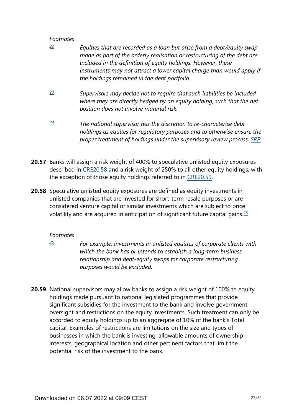- <span id="page-26-0"></span>*Equities that are recorded as a loan but arise from a debt/equity swap made as part of the orderly realisation or restructuring of the debt are included in the definition of equity holdings. However, these instruments may not attract a lower capital charge than would apply if the holdings remained in the debt portfolio. [22](#page-25-2)*
- <span id="page-26-1"></span>*Supervisors may decide not to require that such liabilities be included where they are directly hedged by an equity holding, such that the net position does not involve material risk. [23](#page-25-3)*
- <span id="page-26-2"></span>*The national supervisor has the discretion to re-characterise debt holdings as equites for regulatory purposes and to otherwise ensure the proper treatment of holdings under the supervisory review process, [SRP.](https://www.bis.org/basel_framework/standard/SRP.htm?tldate=20281012) [24](#page-25-4)*
- **20.57** Banks will assign a risk weight of 400% to speculative unlisted equity exposures described in [CRE20.58](https://www.bis.org/basel_framework/chapter/CRE/20.htm?tldate=20281012&inforce=20230101&published=20201126#paragraph_CRE_20_20230101_20_58) and a risk weight of 250% to all other equity holdings, with the exception of those equity holdings referred to in [CRE20.59.](https://www.bis.org/basel_framework/chapter/CRE/20.htm?tldate=20281012&inforce=20230101&published=20201126#paragraph_CRE_20_20230101_20_59)
- <span id="page-26-4"></span>**20.58** Speculative unlisted equity exposures are defined as equity investments in unlisted companies that are invested for short-term resale purposes or are considered venture capital or similar investments which are subject to price volatility and are acquired in anticipation of significant future capital gains.  $\frac{25}{5}$  $\frac{25}{5}$  $\frac{25}{5}$

## *Footnotes*

<span id="page-26-3"></span>*[25](#page-26-4)*

*For example, investments in unlisted equities of corporate clients with which the bank has or intends to establish a long-term business relationship and debt-equity swaps for corporate restructuring purposes would be excluded.*

**20.59** National supervisors may allow banks to assign a risk weight of 100% to equity holdings made pursuant to national legislated programmes that provide significant subsidies for the investment to the bank and involve government oversight and restrictions on the equity investments. Such treatment can only be accorded to equity holdings up to an aggregate of 10% of the bank's Total capital. Examples of restrictions are limitations on the size and types of businesses in which the bank is investing, allowable amounts of ownership interests, geographical location and other pertinent factors that limit the potential risk of the investment to the bank.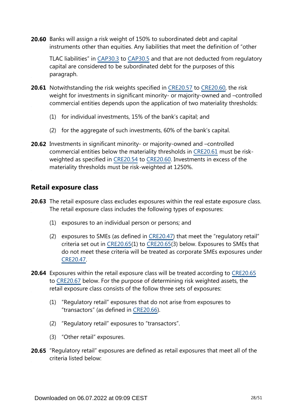**20.60** Banks will assign a risk weight of 150% to subordinated debt and capital instruments other than equities. Any liabilities that meet the definition of "other

TLAC liabilities" in [CAP30.3](https://www.bis.org/basel_framework/chapter/CAP/30.htm?tldate=20281012&inforce=20191215&published=20191215#paragraph_CAP_30_20191215_30_3) to [CAP30.5](https://www.bis.org/basel_framework/chapter/CAP/30.htm?tldate=20281012&inforce=20191215&published=20191215#paragraph_CAP_30_20191215_30_5) and that are not deducted from regulatory capital are considered to be subordinated debt for the purposes of this paragraph.

- **20.61** Notwithstanding the risk weights specified in [CRE20.57](https://www.bis.org/basel_framework/chapter/CRE/20.htm?tldate=20281012&inforce=20230101&published=20201126#paragraph_CRE_20_20230101_20_57) to [CRE20.60,](https://www.bis.org/basel_framework/chapter/CRE/20.htm?tldate=20281012&inforce=20230101&published=20201126#paragraph_CRE_20_20230101_20_60) the risk weight for investments in significant minority- or majority-owned and –controlled commercial entities depends upon the application of two materiality thresholds:
	- (1) for individual investments, 15% of the bank's capital; and
	- (2) for the aggregate of such investments, 60% of the bank's capital.
- **20.62** Investments in significant minority- or majority-owned and -controlled commercial entities below the materiality thresholds in [CRE20.61](https://www.bis.org/basel_framework/chapter/CRE/20.htm?tldate=20281012&inforce=20230101&published=20201126#paragraph_CRE_20_20230101_20_61) must be riskweighted as specified in [CRE20.54](https://www.bis.org/basel_framework/chapter/CRE/20.htm?tldate=20281012&inforce=20230101&published=20201126#paragraph_CRE_20_20230101_20_54) to [CRE20.60](https://www.bis.org/basel_framework/chapter/CRE/20.htm?tldate=20281012&inforce=20230101&published=20201126#paragraph_CRE_20_20230101_20_60). Investments in excess of the materiality thresholds must be risk-weighted at 1250%.

# **Retail exposure class**

- **20.63** The retail exposure class excludes exposures within the real estate exposure class. The retail exposure class includes the following types of exposures:
	- (1) exposures to an individual person or persons; and
	- (2) exposures to SMEs (as defined in [CRE20.47\)](https://www.bis.org/basel_framework/chapter/CRE/20.htm?tldate=20281012&inforce=20230101&published=20201126#paragraph_CRE_20_20230101_20_47) that meet the "regulatory retail" criteria set out in [CRE20.65\(](https://www.bis.org/basel_framework/chapter/CRE/20.htm?tldate=20281012&inforce=20230101&published=20201126#paragraph_CRE_20_20230101_20_65)1) to [CRE20.65](https://www.bis.org/basel_framework/chapter/CRE/20.htm?tldate=20281012&inforce=20230101&published=20201126#paragraph_CRE_20_20230101_20_65)(3) below. Exposures to SMEs that do not meet these criteria will be treated as corporate SMEs exposures under [CRE20.47.](https://www.bis.org/basel_framework/chapter/CRE/20.htm?tldate=20281012&inforce=20230101&published=20201126#paragraph_CRE_20_20230101_20_47)
- **20.64** Exposures within the retail exposure class will be treated according to [CRE20.65](https://www.bis.org/basel_framework/chapter/CRE/20.htm?tldate=20281012&inforce=20230101&published=20201126#paragraph_CRE_20_20230101_20_65) to [CRE20.67](https://www.bis.org/basel_framework/chapter/CRE/20.htm?tldate=20281012&inforce=20230101&published=20201126#paragraph_CRE_20_20230101_20_67) below. For the purpose of determining risk weighted assets, the retail exposure class consists of the follow three sets of exposures:
	- (1) "Regulatory retail" exposures that do not arise from exposures to "transactors" (as defined in [CRE20.66\)](https://www.bis.org/basel_framework/chapter/CRE/20.htm?tldate=20281012&inforce=20230101&published=20201126#paragraph_CRE_20_20230101_20_66).
	- (2) "Regulatory retail" exposures to "transactors".
	- (3) "Other retail" exposures.
- **20.65** "Regulatory retail" exposures are defined as retail exposures that meet all of the criteria listed below: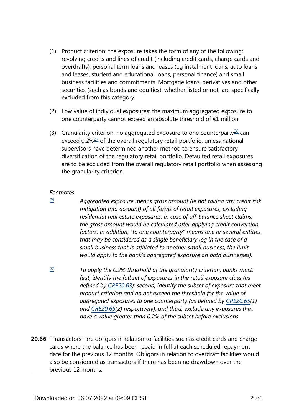- (1) Product criterion: the exposure takes the form of any of the following: revolving credits and lines of credit (including credit cards, charge cards and overdrafts), personal term loans and leases (eg instalment loans, auto loans and leases, student and educational loans, personal finance) and small business facilities and commitments. Mortgage loans, derivatives and other securities (such as bonds and equities), whether listed or not, are specifically excluded from this category.
- (2) Low value of individual exposures: the maximum aggregated exposure to one counterparty cannot exceed an absolute threshold of €1 million.
- <span id="page-28-3"></span><span id="page-28-2"></span>(3) Granularity criterion: no aggregated exposure to one counterparty $^{26}$  $^{26}$  $^{26}$  can exceed 0.2%<sup>[27](#page-28-1)</sup> of the overall regulatory retail portfolio, unless national supervisors have determined another method to ensure satisfactory diversification of the regulatory retail portfolio. Defaulted retail exposures are to be excluded from the overall regulatory retail portfolio when assessing the granularity criterion.

<span id="page-28-0"></span>*[26](#page-28-2)*

*Aggregated exposure means gross amount (ie not taking any credit risk mitigation into account) of all forms of retail exposures, excluding residential real estate exposures. In case of off-balance sheet claims, the gross amount would be calculated after applying credit conversion factors. In addition, "to one counterparty" means one or several entities that may be considered as a single beneficiary (eg in the case of a small business that is affiliated to another small business, the limit would apply to the bank's aggregated exposure on both businesses).*

- <span id="page-28-1"></span>*To apply the 0.2% threshold of the granularity criterion, banks must: first, identify the full set of exposures in the retail exposure class (as defined by [CRE20.63\)](https://www.bis.org/basel_framework/chapter/CRE/20.htm?tldate=20281012&inforce=20230101&published=20201126#paragraph_CRE_20_20230101_20_63); second, identify the subset of exposure that meet product criterion and do not exceed the threshold for the value of aggregated exposures to one counterparty (as defined by [CRE20.65\(](https://www.bis.org/basel_framework/chapter/CRE/20.htm?tldate=20281012&inforce=20230101&published=20201126#paragraph_CRE_20_20230101_20_65)1) and [CRE20.65\(](https://www.bis.org/basel_framework/chapter/CRE/20.htm?tldate=20281012&inforce=20230101&published=20201126#paragraph_CRE_20_20230101_20_65)2) respectively); and third, exclude any exposures that have a value greater than 0.2% of the subset before exclusions. [27](#page-28-3)*
- **20.66** "Transactors" are obligors in relation to facilities such as credit cards and charge cards where the balance has been repaid in full at each scheduled repayment date for the previous 12 months. Obligors in relation to overdraft facilities would also be considered as transactors if there has been no drawdown over the previous 12 months.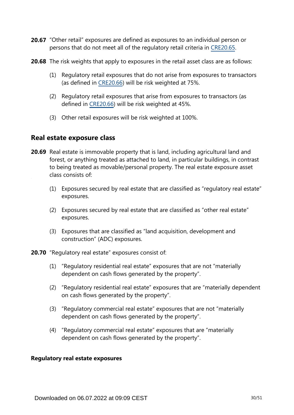- 20.67 "Other retail" exposures are defined as exposures to an individual person or persons that do not meet all of the regulatory retail criteria in [CRE20.65](https://www.bis.org/basel_framework/chapter/CRE/20.htm?tldate=20281012&inforce=20230101&published=20201126#paragraph_CRE_20_20230101_20_65).
- **20.68** The risk weights that apply to exposures in the retail asset class are as follows:
	- (1) Regulatory retail exposures that do not arise from exposures to transactors (as defined in [CRE20.66](https://www.bis.org/basel_framework/chapter/CRE/20.htm?tldate=20281012&inforce=20230101&published=20201126#paragraph_CRE_20_20230101_20_66)) will be risk weighted at 75%.
	- (2) Regulatory retail exposures that arise from exposures to transactors (as defined in [CRE20.66](https://www.bis.org/basel_framework/chapter/CRE/20.htm?tldate=20281012&inforce=20230101&published=20201126#paragraph_CRE_20_20230101_20_66)) will be risk weighted at 45%.
	- (3) Other retail exposures will be risk weighted at 100%.

# **Real estate exposure class**

- **20.69** Real estate is immovable property that is land, including agricultural land and forest, or anything treated as attached to land, in particular buildings, in contrast to being treated as movable/personal property. The real estate exposure asset class consists of:
	- (1) Exposures secured by real estate that are classified as "regulatory real estate" exposures.
	- (2) Exposures secured by real estate that are classified as "other real estate" exposures.
	- (3) Exposures that are classified as "land acquisition, development and construction" (ADC) exposures.
- **20.70** "Regulatory real estate" exposures consist of:
	- (1) "Regulatory residential real estate" exposures that are not "materially dependent on cash flows generated by the property".
	- (2) "Regulatory residential real estate" exposures that are "materially dependent on cash flows generated by the property".
	- (3) "Regulatory commercial real estate" exposures that are not "materially dependent on cash flows generated by the property".
	- (4) "Regulatory commercial real estate" exposures that are "materially dependent on cash flows generated by the property".

#### **Regulatory real estate exposures**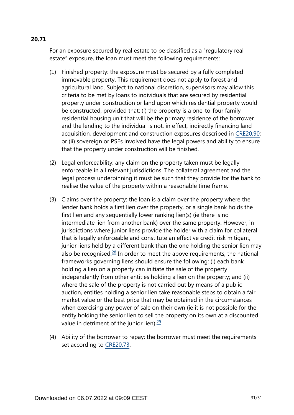# For an exposure secured by real estate to be classified as a "regulatory real estate" exposure, the loan must meet the following requirements:

- (1) Finished property: the exposure must be secured by a fully completed immovable property. This requirement does not apply to forest and agricultural land. Subject to national discretion, supervisors may allow this criteria to be met by loans to individuals that are secured by residential property under construction or land upon which residential property would be constructed, provided that: (i) the property is a one-to-four family residential housing unit that will be the primary residence of the borrower and the lending to the individual is not, in effect, indirectly financing land acquisition, development and construction exposures described in [CRE20.90](https://www.bis.org/basel_framework/chapter/CRE/20.htm?tldate=20281012&inforce=20230101&published=20201126#paragraph_CRE_20_20230101_20_90); or (ii) sovereign or PSEs involved have the legal powers and ability to ensure that the property under construction will be finished.
- (2) Legal enforceability: any claim on the property taken must be legally enforceable in all relevant jurisdictions. The collateral agreement and the legal process underpinning it must be such that they provide for the bank to realise the value of the property within a reasonable time frame.
- <span id="page-30-0"></span>(3) Claims over the property: the loan is a claim over the property where the lender bank holds a first lien over the property, or a single bank holds the first lien and any sequentially lower ranking lien(s) (ie there is no intermediate lien from another bank) over the same property. However, in jurisdictions where junior liens provide the holder with a claim for collateral that is legally enforceable and constitute an effective credit risk mitigant, junior liens held by a different bank than the one holding the senior lien may also be recognised. $28$  In order to meet the above requirements, the national frameworks governing liens should ensure the following: (i) each bank holding a lien on a property can initiate the sale of the property independently from other entities holding a lien on the property; and (ii) where the sale of the property is not carried out by means of a public auction, entities holding a senior lien take reasonable steps to obtain a fair market value or the best price that may be obtained in the circumstances when exercising any power of sale on their own (ie it is not possible for the entity holding the senior lien to sell the property on its own at a discounted value in detriment of the junior lien). $\frac{29}{2}$  $\frac{29}{2}$  $\frac{29}{2}$
- <span id="page-30-1"></span>(4) Ability of the borrower to repay: the borrower must meet the requirements set according to [CRE20.73](https://www.bis.org/basel_framework/chapter/CRE/20.htm?tldate=20281012&inforce=20230101&published=20201126#paragraph_CRE_20_20230101_20_73).

# **20.71**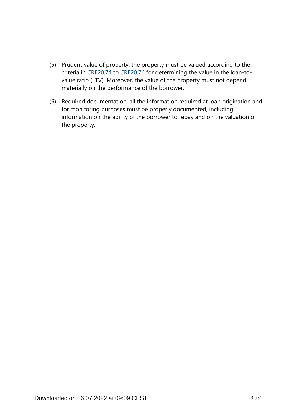- (5) Prudent value of property: the property must be valued according to the criteria in [CRE20.74](https://www.bis.org/basel_framework/chapter/CRE/20.htm?tldate=20281012&inforce=20230101&published=20201126#paragraph_CRE_20_20230101_20_74) to [CRE20.76](https://www.bis.org/basel_framework/chapter/CRE/20.htm?tldate=20281012&inforce=20230101&published=20201126#paragraph_CRE_20_20230101_20_76) for determining the value in the loan-tovalue ratio (LTV). Moreover, the value of the property must not depend materially on the performance of the borrower.
- (6) Required documentation: all the information required at loan origination and for monitoring purposes must be properly documented, including information on the ability of the borrower to repay and on the valuation of the property.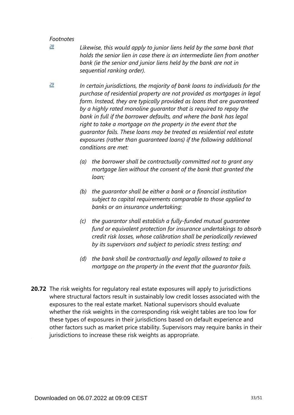<span id="page-32-0"></span>*[28](#page-30-0)*

*Likewise, this would apply to junior liens held by the same bank that holds the senior lien in case there is an intermediate lien from another*  bank (ie the senior and junior liens held by the bank are not in *sequential ranking order).*

<span id="page-32-1"></span>*In certain jurisdictions, the majority of bank loans to individuals for the purchase of residential property are not provided as mortgages in legal form. Instead, they are typically provided as loans that are guaranteed by a highly rated monoline guarantor that is required to repay the bank in full if the borrower defaults, and where the bank has legal right to take a mortgage on the property in the event that the guarantor fails. These loans may be treated as residential real estate exposures (rather than guaranteed loans) if the following additional conditions are met: [29](#page-30-1)*

- *(a) the borrower shall be contractually committed not to grant any mortgage lien without the consent of the bank that granted the loan;*
- *(b) the guarantor shall be either a bank or a financial institution subject to capital requirements comparable to those applied to banks or an insurance undertaking;*
- *(c) the guarantor shall establish a fully-funded mutual guarantee fund or equivalent protection for insurance undertakings to absorb credit risk losses, whose calibration shall be periodically reviewed by its supervisors and subject to periodic stress testing; and*
- *(d) the bank shall be contractually and legally allowed to take a mortgage on the property in the event that the guarantor fails.*
- **20.72** The risk weights for regulatory real estate exposures will apply to jurisdictions where structural factors result in sustainably low credit losses associated with the exposures to the real estate market. National supervisors should evaluate whether the risk weights in the corresponding risk weight tables are too low for these types of exposures in their jurisdictions based on default experience and other factors such as market price stability. Supervisors may require banks in their jurisdictions to increase these risk weights as appropriate.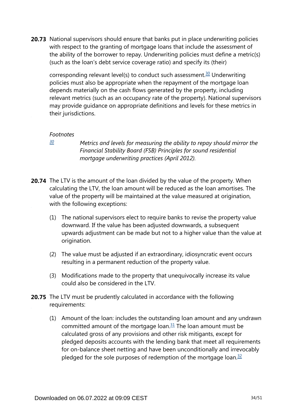<span id="page-33-1"></span>**20.73** National supervisors should ensure that banks put in place underwriting policies with respect to the granting of mortgage loans that include the assessment of the ability of the borrower to repay. Underwriting policies must define a metric(s) (such as the loan's debt service coverage ratio) and specify its (their)

corresponding relevant level(s) to conduct such assessment.<sup>[30](#page-33-0)</sup> Underwriting policies must also be appropriate when the repayment of the mortgage loan depends materially on the cash flows generated by the property, including relevant metrics (such as an occupancy rate of the property). National supervisors may provide guidance on appropriate definitions and levels for these metrics in their jurisdictions.

#### *Footnotes*

<span id="page-33-0"></span>*[30](#page-33-1)*

*Metrics and levels for measuring the ability to repay should mirror the Financial Stability Board (FSB) Principles for sound residential mortgage underwriting practices (April 2012).*

- **20.74** The LTV is the amount of the loan divided by the value of the property. When calculating the LTV, the loan amount will be reduced as the loan amortises. The value of the property will be maintained at the value measured at origination, with the following exceptions:
	- (1) The national supervisors elect to require banks to revise the property value downward. If the value has been adjusted downwards, a subsequent upwards adjustment can be made but not to a higher value than the value at origination.
	- (2) The value must be adjusted if an extraordinary, idiosyncratic event occurs resulting in a permanent reduction of the property value.
	- (3) Modifications made to the property that unequivocally increase its value could also be considered in the LTV.
- <span id="page-33-3"></span><span id="page-33-2"></span>**20.75** The LTV must be prudently calculated in accordance with the following requirements:
	- (1) Amount of the loan: includes the outstanding loan amount and any undrawn committed amount of the mortgage loan. $31$  The loan amount must be calculated gross of any provisions and other risk mitigants, except for pledged deposits accounts with the lending bank that meet all requirements for on-balance sheet netting and have been unconditionally and irrevocably pledged for the sole purposes of redemption of the mortgage loan. $32$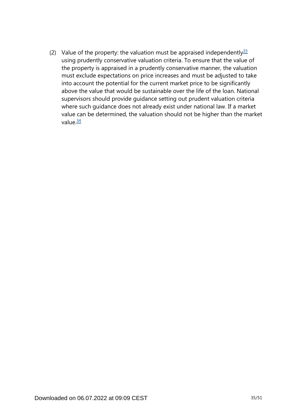<span id="page-34-1"></span><span id="page-34-0"></span>(2) Value of the property: the valuation must be appraised independently  $33$ using prudently conservative valuation criteria. To ensure that the value of the property is appraised in a prudently conservative manner, the valuation must exclude expectations on price increases and must be adjusted to take into account the potential for the current market price to be significantly above the value that would be sustainable over the life of the loan. National supervisors should provide guidance setting out prudent valuation criteria where such guidance does not already exist under national law. If a market value can be determined, the valuation should not be higher than the market value $\frac{34}{5}$  $\frac{34}{5}$  $\frac{34}{5}$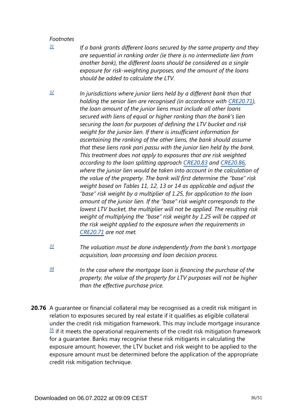<span id="page-35-0"></span>*[31](#page-33-2)*

*If a bank grants different loans secured by the same property and they are sequential in ranking order (ie there is no intermediate lien from another bank), the different loans should be considered as a single exposure for risk-weighting purposes, and the amount of the loans should be added to calculate the LTV.*

- <span id="page-35-1"></span>*In jurisdictions where junior liens held by a different bank than that holding the senior lien are recognised (in accordance with [CRE20.71\)](https://www.bis.org/basel_framework/chapter/CRE/20.htm?tldate=20281012&inforce=20230101&published=20201126#paragraph_CRE_20_20230101_20_71), the loan amount of the junior liens must include all other loans secured with liens of equal or higher ranking than the bank's lien securing the loan for purposes of defining the LTV bucket and risk weight for the junior lien. If there is insufficient information for ascertaining the ranking of the other liens, the bank should assume that these liens rank pari passu with the junior lien held by the bank. This treatment does not apply to exposures that are risk weighted according to the loan splitting approach [CRE20.83](https://www.bis.org/basel_framework/chapter/CRE/20.htm?tldate=20281012&inforce=20230101&published=20201126#paragraph_CRE_20_20230101_20_83) and [CRE20.86,](https://www.bis.org/basel_framework/chapter/CRE/20.htm?tldate=20281012&inforce=20230101&published=20201126#paragraph_CRE_20_20230101_20_86) where the junior lien would be taken into account in the calculation of the value of the property. The bank will first determine the "base" risk weight based on Tables 11, 12, 13 or 14 as applicable and adjust the "base" risk weight by a multiplier of 1.25, for application to the loan amount of the junior lien. If the "base" risk weight corresponds to the lowest LTV bucket, the multiplier will not be applied. The resulting risk weight of multiplying the "base" risk weight by 1.25 will be capped at the risk weight applied to the exposure when the requirements in [CRE20.71](https://www.bis.org/basel_framework/chapter/CRE/20.htm?tldate=20281012&inforce=20230101&published=20201126#paragraph_CRE_20_20230101_20_71) are not met. [32](#page-33-3)*
- <span id="page-35-2"></span>*The valuation must be done independently from the bank's mortgage acquisition, loan processing and loan decision process. [33](#page-34-0)*
- <span id="page-35-3"></span>*In the case where the mortgage loan is financing the purchase of the property, the value of the property for LTV purposes will not be higher than the effective purchase price. [34](#page-34-1)*
- **20.76** A guarantee or financial collateral may be recognised as a credit risk mitigant in relation to exposures secured by real estate if it qualifies as eligible collateral under the credit risk mitigation framework. This may include mortgage insurance  $35$  if it meets the operational requirements of the credit risk mitigation framework for a guarantee. Banks may recognise these risk mitigants in calculating the exposure amount; however, the LTV bucket and risk weight to be applied to the exposure amount must be determined before the application of the appropriate credit risk mitigation technique.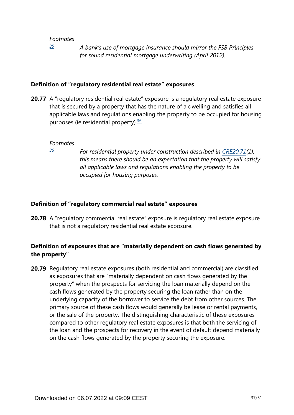*[35](#page-0-0)*

*A bank's use of mortgage insurance should mirror the FSB Principles for sound residential mortgage underwriting (April 2012).*

### <span id="page-36-0"></span>**Definition of "regulatory residential real estate" exposures**

<span id="page-36-2"></span>**20.77** A "regulatory residential real estate" exposure is a regulatory real estate exposure that is secured by a property that has the nature of a dwelling and satisfies all applicable laws and regulations enabling the property to be occupied for housing purposes (ie residential property). $36$ 

#### *Footnotes*

<span id="page-36-1"></span>*[36](#page-36-2)*

*For residential property under construction described in [CRE20.71\(](https://www.bis.org/basel_framework/chapter/CRE/20.htm?tldate=20281012&inforce=20230101&published=20201126#paragraph_CRE_20_20230101_20_71)1), this means there should be an expectation that the property will satisfy all applicable laws and regulations enabling the property to be occupied for housing purposes.*

#### **Definition of "regulatory commercial real estate" exposures**

**20.78** A "regulatory commercial real estate" exposure is regulatory real estate exposure that is not a regulatory residential real estate exposure.

# **Definition of exposures that are "materially dependent on cash flows generated by the property"**

**20.79** Regulatory real estate exposures (both residential and commercial) are classified as exposures that are "materially dependent on cash flows generated by the property" when the prospects for servicing the loan materially depend on the cash flows generated by the property securing the loan rather than on the underlying capacity of the borrower to service the debt from other sources. The primary source of these cash flows would generally be lease or rental payments, or the sale of the property. The distinguishing characteristic of these exposures compared to other regulatory real estate exposures is that both the servicing of the loan and the prospects for recovery in the event of default depend materially on the cash flows generated by the property securing the exposure.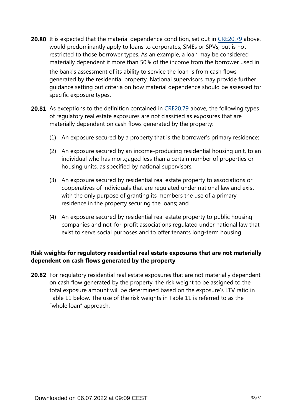**20.80** It is expected that the material dependence condition, set out in [CRE20.79](https://www.bis.org/basel_framework/chapter/CRE/20.htm?tldate=20281012&inforce=20230101&published=20201126#paragraph_CRE_20_20230101_20_79) above, would predominantly apply to loans to corporates, SMEs or SPVs, but is not restricted to those borrower types. As an example, a loan may be considered materially dependent if more than 50% of the income from the borrower used in the bank's assessment of its ability to service the loan is from cash flows generated by the residential property. National supervisors may provide further

guidance setting out criteria on how material dependence should be assessed for specific exposure types.

- **20.81** As exceptions to the definition contained in [CRE20.79](https://www.bis.org/basel_framework/chapter/CRE/20.htm?tldate=20281012&inforce=20230101&published=20201126#paragraph_CRE_20_20230101_20_79) above, the following types of regulatory real estate exposures are not classified as exposures that are materially dependent on cash flows generated by the property:
	- (1) An exposure secured by a property that is the borrower's primary residence;
	- (2) An exposure secured by an income-producing residential housing unit, to an individual who has mortgaged less than a certain number of properties or housing units, as specified by national supervisors;
	- (3) An exposure secured by residential real estate property to associations or cooperatives of individuals that are regulated under national law and exist with the only purpose of granting its members the use of a primary residence in the property securing the loans; and
	- (4) An exposure secured by residential real estate property to public housing companies and not-for-profit associations regulated under national law that exist to serve social purposes and to offer tenants long-term housing.

# **Risk weights for regulatory residential real estate exposures that are not materially dependent on cash flows generated by the property**

**20.82** For regulatory residential real estate exposures that are not materially dependent on cash flow generated by the property, the risk weight to be assigned to the total exposure amount will be determined based on the exposure's LTV ratio in Table 11 below. The use of the risk weights in Table 11 is referred to as the "whole loan" approach.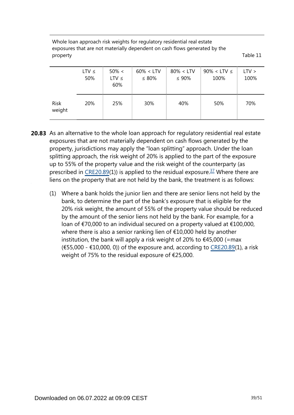Whole loan approach risk weights for regulatory residential real estate exposures that are not materially dependent on cash flows generated by the property Table 11

|                       | $LTV \leq$<br>50% | $50\% <$<br>$LTV \leq$<br>60% | $60\% < LTV$<br>$\leq 80\%$ | $80\% < LTV$<br>$\leq 90\%$ | $90\% <$ LTV $\leq$<br>100% | LTV ><br>100% |
|-----------------------|-------------------|-------------------------------|-----------------------------|-----------------------------|-----------------------------|---------------|
| <b>Risk</b><br>weight | 20%               | 25%                           | 30%                         | 40%                         | 50%                         | 70%           |

- <span id="page-38-0"></span>**20.83** As an alternative to the whole loan approach for regulatory residential real estate exposures that are not materially dependent on cash flows generated by the property, jurisdictions may apply the "loan splitting" approach. Under the loan splitting approach, the risk weight of 20% is applied to the part of the exposure up to 55% of the property value and the risk weight of the counterparty (as prescribed in [CRE20.89](https://www.bis.org/basel_framework/chapter/CRE/20.htm?tldate=20281012&inforce=20230101&published=20201126#paragraph_CRE_20_20230101_20_89)(1)) is applied to the residual exposure.<sup>[37](#page-39-0)</sup> Where there are liens on the property that are not held by the bank, the treatment is as follows:
	- (1) Where a bank holds the junior lien and there are senior liens not held by the bank, to determine the part of the bank's exposure that is eligible for the 20% risk weight, the amount of 55% of the property value should be reduced by the amount of the senior liens not held by the bank. For example, for a loan of €70,000 to an individual secured on a property valued at €100,000, where there is also a senior ranking lien of €10,000 held by another institution, the bank will apply a risk weight of 20% to  $\epsilon$ 45,000 (=max  $(655,000 - 10,000, 0)$  of the exposure and, according to [CRE20.89\(](https://www.bis.org/basel_framework/chapter/CRE/20.htm?tldate=20281012&inforce=20230101&published=20201126#paragraph_CRE_20_20230101_20_89)1), a risk weight of 75% to the residual exposure of €25,000.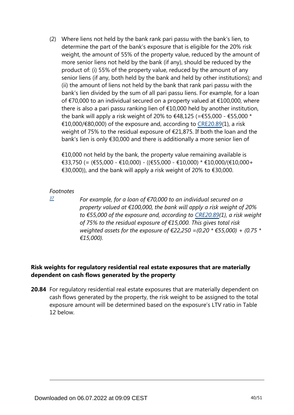(2) Where liens not held by the bank rank pari passu with the bank's lien, to determine the part of the bank's exposure that is eligible for the 20% risk weight, the amount of 55% of the property value, reduced by the amount of more senior liens not held by the bank (if any), should be reduced by the product of: (i) 55% of the property value, reduced by the amount of any senior liens (if any, both held by the bank and held by other institutions); and (ii) the amount of liens not held by the bank that rank pari passu with the bank's lien divided by the sum of all pari passu liens. For example, for a loan of €70,000 to an individual secured on a property valued at €100,000, where there is also a pari passu ranking lien of €10,000 held by another institution, the bank will apply a risk weight of 20% to  $\epsilon$ 48,125 (= $\epsilon$ 55,000 -  $\epsilon$ 55,000 \* €10,000/€80,000) of the exposure and, according to [CRE20.89\(](https://www.bis.org/basel_framework/chapter/CRE/20.htm?tldate=20281012&inforce=20230101&published=20201126#paragraph_CRE_20_20230101_20_89)1), a risk weight of 75% to the residual exposure of €21,875. If both the loan and the bank's lien is only €30,000 and there is additionally a more senior lien of

 $\epsilon$ 10,000 not held by the bank, the property value remaining available is €33,750 (= (€55,000 - €10,000) - ((€55,000 - €10,000) \* €10,000/(€10,000+ €30,000)), and the bank will apply a risk weight of 20% to €30,000.

#### <span id="page-39-0"></span>*Footnotes*

*[37](#page-38-0)*

*For example, for a loan of €70,000 to an individual secured on a property valued at €100,000, the bank will apply a risk weight of 20% to €55,000 of the exposure and, according to [CRE20.89](https://www.bis.org/basel_framework/chapter/CRE/20.htm?tldate=20281012&inforce=20230101&published=20201126#paragraph_CRE_20_20230101_20_89)(1), a risk weight of 75% to the residual exposure of €15,000. This gives total risk weighted assets for the exposure of €22,250 =(0.20 \* €55,000) + (0.75 \* €15,000).*

# **Risk weights for regulatory residential real estate exposures that are materially dependent on cash flows generated by the property**

**20.84** For regulatory residential real estate exposures that are materially dependent on cash flows generated by the property, the risk weight to be assigned to the total exposure amount will be determined based on the exposure's LTV ratio in Table 12 below.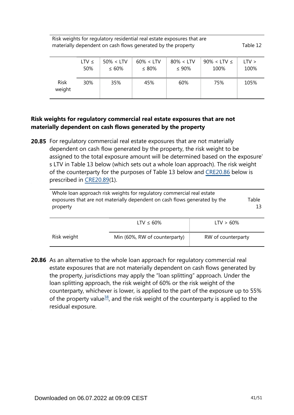Risk weights for regulatory residential real estate exposures that are materially dependent on cash flows generated by the property Table 12

|                       | LTV $\leq$ | $50\% < LTV$ | $60\% < LTV$ | $80\% < LTV$ | $90\% <$ LTV $\leq$ | LTV > |
|-----------------------|------------|--------------|--------------|--------------|---------------------|-------|
|                       | 50%        | $\leq 60\%$  | $\leq 80\%$  | $\leq 90\%$  | 100%                | 100%  |
| <b>Risk</b><br>weight | 30%        | 35%          | 45%          | 60%          | 75%                 | 105%  |

## **Risk weights for regulatory commercial real estate exposures that are not materially dependent on cash flows generated by the property**

**20.85** For regulatory commercial real estate exposures that are not materially dependent on cash flow generated by the property, the risk weight to be assigned to the total exposure amount will be determined based on the exposure' s LTV in Table 13 below (which sets out a whole loan approach). The risk weight of the counterparty for the purposes of Table 13 below and [CRE20.86](https://www.bis.org/basel_framework/chapter/CRE/20.htm?tldate=20281012&inforce=20230101&published=20201126#paragraph_CRE_20_20230101_20_86) below is prescribed in [CRE20.89](https://www.bis.org/basel_framework/chapter/CRE/20.htm?tldate=20281012&inforce=20230101&published=20201126#paragraph_CRE_20_20230101_20_89)(1).

| Whole loan approach risk weights for regulatory commercial real estate<br>exposures that are not materially dependent on cash flows generated by the<br>property |  |  |  |
|------------------------------------------------------------------------------------------------------------------------------------------------------------------|--|--|--|
|                                                                                                                                                                  |  |  |  |

|             | LTV $\leq 60\%$               | $LTV > 60\%$       |
|-------------|-------------------------------|--------------------|
| Risk weight | Min (60%, RW of counterparty) | RW of counterparty |

<span id="page-40-0"></span>**20.86** As an alternative to the whole loan approach for regulatory commercial real estate exposures that are not materially dependent on cash flows generated by the property, jurisdictions may apply the "loan splitting" approach. Under the loan splitting approach, the risk weight of 60% or the risk weight of the counterparty, whichever is lower, is applied to the part of the exposure up to 55% of the property value<sup>[38](#page-41-0)</sup>, and the risk weight of the counterparty is applied to the residual exposure.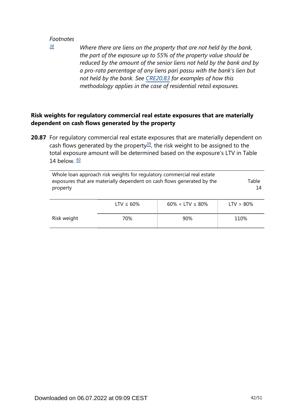<span id="page-41-0"></span>*[38](#page-40-0)*

*Where there are liens on the property that are not held by the bank, the part of the exposure up to 55% of the property value should be reduced by the amount of the senior liens not held by the bank and by a pro-rata percentage of any liens pari passu with the bank's lien but not held by the bank. See [CRE20.83](https://www.bis.org/basel_framework/chapter/CRE/20.htm?tldate=20281012&inforce=20230101&published=20201126#paragraph_CRE_20_20230101_20_83) for examples of how this methodology applies in the case of residential retail exposures.*

# **Risk weights for regulatory commercial real estate exposures that are materially dependent on cash flows generated by the property**

<span id="page-41-2"></span><span id="page-41-1"></span>**20.87** For regulatory commercial real estate exposures that are materially dependent on cash flows generated by the property<sup>[39](#page-42-0)</sup>, the risk weight to be assigned to the total exposure amount will be determined based on the exposure's LTV in Table 14 below.  $\frac{40}{2}$  $\frac{40}{2}$  $\frac{40}{2}$ 

| Whole loan approach risk weights for regulatory commercial real estate<br>exposures that are materially dependent on cash flows generated by the<br>property | Table<br>14     |                          |              |
|--------------------------------------------------------------------------------------------------------------------------------------------------------------|-----------------|--------------------------|--------------|
|                                                                                                                                                              | LTV $\leq 60\%$ | $60\% <$ LTV $\leq 80\%$ | $LTV > 80\%$ |
| Risk weight                                                                                                                                                  | 70%             | 90%                      | 110%         |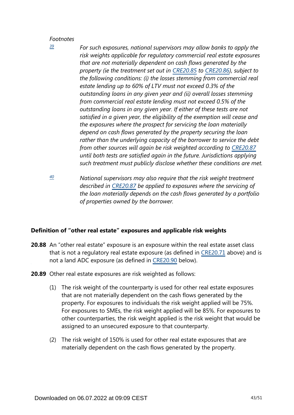<span id="page-42-0"></span>*[39](#page-41-1)*

- *For such exposures, national supervisors may allow banks to apply the risk weights applicable for regulatory commercial real estate exposures that are not materially dependent on cash flows generated by the property (ie the treatment set out in [CRE20.85](https://www.bis.org/basel_framework/chapter/CRE/20.htm?tldate=20281012&inforce=20230101&published=20201126#paragraph_CRE_20_20230101_20_85) to [CRE20.86\)](https://www.bis.org/basel_framework/chapter/CRE/20.htm?tldate=20281012&inforce=20230101&published=20201126#paragraph_CRE_20_20230101_20_86), subject to the following conditions: (i) the losses stemming from commercial real estate lending up to 60% of LTV must not exceed 0.3% of the outstanding loans in any given year and (ii) overall losses stemming from commercial real estate lending must not exceed 0.5% of the outstanding loans in any given year. If either of these tests are not satisfied in a given year, the eligibility of the exemption will cease and the exposures where the prospect for servicing the loan materially depend on cash flows generated by the property securing the loan rather than the underlying capacity of the borrower to service the debt from other sources will again be risk weighted according to [CRE20.87](https://www.bis.org/basel_framework/chapter/CRE/20.htm?tldate=20281012&inforce=20230101&published=20201126#paragraph_CRE_20_20230101_20_87) until both tests are satisfied again in the future. Jurisdictions applying such treatment must publicly disclose whether these conditions are met.*
- <span id="page-42-1"></span>*National supervisors may also require that the risk weight treatment described in [CRE20.87](https://www.bis.org/basel_framework/chapter/CRE/20.htm?tldate=20281012&inforce=20230101&published=20201126#paragraph_CRE_20_20230101_20_87) be applied to exposures where the servicing of the loan materially depends on the cash flows generated by a portfolio of properties owned by the borrower. [40](#page-41-2)*

## **Definition of "other real estate" exposures and applicable risk weights**

- **20.88** An "other real estate" exposure is an exposure within the real estate asset class that is not a regulatory real estate exposure (as defined in [CRE20.71](https://www.bis.org/basel_framework/chapter/CRE/20.htm?tldate=20281012&inforce=20230101&published=20201126#paragraph_CRE_20_20230101_20_71) above) and is not a land ADC exposure (as defined in [CRE20.90](https://www.bis.org/basel_framework/chapter/CRE/20.htm?tldate=20281012&inforce=20230101&published=20201126#paragraph_CRE_20_20230101_20_90) below).
- **20.89** Other real estate exposures are risk weighted as follows:
	- (1) The risk weight of the counterparty is used for other real estate exposures that are not materially dependent on the cash flows generated by the property. For exposures to individuals the risk weight applied will be 75%. For exposures to SMEs, the risk weight applied will be 85%. For exposures to other counterparties, the risk weight applied is the risk weight that would be assigned to an unsecured exposure to that counterparty.
	- (2) The risk weight of 150% is used for other real estate exposures that are materially dependent on the cash flows generated by the property.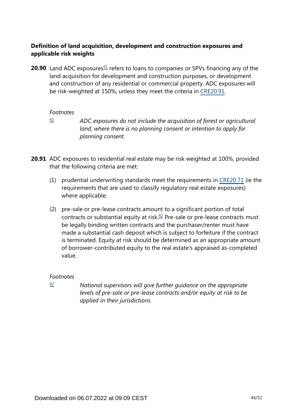# **Definition of land acquisition, development and construction exposures and applicable risk weights**

<span id="page-43-1"></span>**20.90** Land ADC exposures $41$  refers to loans to companies or SPVs financing any of the land acquisition for development and construction purposes, or development and construction of any residential or commercial property. ADC exposures will be risk-weighted at 150%, unless they meet the criteria in [CRE20.91.](https://www.bis.org/basel_framework/chapter/CRE/20.htm?tldate=20281012&inforce=20230101&published=20201126#paragraph_CRE_20_20230101_20_91)

#### *Footnotes*

<span id="page-43-0"></span>*[41](#page-43-1)*

*ADC exposures do not include the acquisition of forest or agricultural land, where there is no planning consent or intention to apply for planning consent.*

**20.91** ADC exposures to residential real estate may be risk weighted at 100%, provided that the following criteria are met:

- (1) prudential underwriting standards meet the requirements in [CRE20.71](https://www.bis.org/basel_framework/chapter/CRE/20.htm?tldate=20281012&inforce=20230101&published=20201126#paragraph_CRE_20_20230101_20_71) (ie the requirements that are used to classify regulatory real estate exposures) where applicable;
- <span id="page-43-3"></span>(2) pre-sale or pre-lease contracts amount to a significant portion of total contracts or substantial equity at risk. $42$  Pre-sale or pre-lease contracts must be legally binding written contracts and the purchaser/renter must have made a substantial cash deposit which is subject to forfeiture if the contract is terminated. Equity at risk should be determined as an appropriate amount of borrower-contributed equity to the real estate's appraised as-completed value.

## *Footnotes*

<span id="page-43-2"></span>*[42](#page-43-3)*

*National supervisors will give further guidance on the appropriate levels of pre-sale or pre-lease contracts and/or equity at risk to be applied in their jurisdictions.*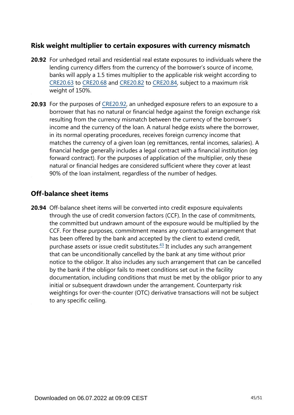# **Risk weight multiplier to certain exposures with currency mismatch**

- **20.92** For unhedged retail and residential real estate exposures to individuals where the lending currency differs from the currency of the borrower's source of income, banks will apply a 1.5 times multiplier to the applicable risk weight according to [CRE20.63](https://www.bis.org/basel_framework/chapter/CRE/20.htm?tldate=20281012&inforce=20230101&published=20201126#paragraph_CRE_20_20230101_20_63) to [CRE20.68](https://www.bis.org/basel_framework/chapter/CRE/20.htm?tldate=20281012&inforce=20230101&published=20201126#paragraph_CRE_20_20230101_20_68) and [CRE20.82](https://www.bis.org/basel_framework/chapter/CRE/20.htm?tldate=20281012&inforce=20230101&published=20201126#paragraph_CRE_20_20230101_20_82) to [CRE20.84,](https://www.bis.org/basel_framework/chapter/CRE/20.htm?tldate=20281012&inforce=20230101&published=20201126#paragraph_CRE_20_20230101_20_84) subject to a maximum risk weight of 150%.
- **20.93** For the purposes of [CRE20.92,](https://www.bis.org/basel_framework/chapter/CRE/20.htm?tldate=20281012&inforce=20230101&published=20201126#paragraph_CRE_20_20230101_20_92) an unhedged exposure refers to an exposure to a borrower that has no natural or financial hedge against the foreign exchange risk resulting from the currency mismatch between the currency of the borrower's income and the currency of the loan. A natural hedge exists where the borrower, in its normal operating procedures, receives foreign currency income that matches the currency of a given loan (eg remittances, rental incomes, salaries). A financial hedge generally includes a legal contract with a financial institution (eg forward contract). For the purposes of application of the multiplier, only these natural or financial hedges are considered sufficient where they cover at least 90% of the loan instalment, regardless of the number of hedges.

# **Off-balance sheet items**

<span id="page-44-0"></span>**20.94** Off-balance sheet items will be converted into credit exposure equivalents through the use of credit conversion factors (CCF). In the case of commitments, the committed but undrawn amount of the exposure would be multiplied by the CCF. For these purposes, commitment means any contractual arrangement that has been offered by the bank and accepted by the client to extend credit, purchase assets or issue credit substitutes. $43$  It includes any such arrangement that can be unconditionally cancelled by the bank at any time without prior notice to the obligor. It also includes any such arrangement that can be cancelled by the bank if the obligor fails to meet conditions set out in the facility documentation, including conditions that must be met by the obligor prior to any initial or subsequent drawdown under the arrangement. Counterparty risk weightings for over-the-counter (OTC) derivative transactions will not be subject to any specific ceiling.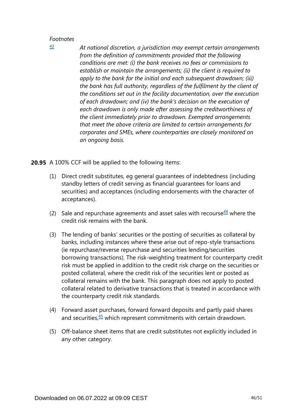*At national discretion, a jurisdiction may exempt certain arrangements from the definition of commitments provided that the following conditions are met: (i) the bank receives no fees or commissions to establish or maintain the arrangements; (ii) the client is required to apply to the bank for the initial and each subsequent drawdown; (iii) the bank has full authority, regardless of the fulfilment by the client of the conditions set out in the facility documentation, over the execution of each drawdown; and (iv) the bank's decision on the execution of each drawdown is only made after assessing the creditworthiness of the client immediately prior to drawdown. Exempted arrangements that meet the above criteria are limited to certain arrangements for corporates and SMEs, where counterparties are closely monitored on an ongoing basis.*

**20.95** A 100% CCF will be applied to the following items:

- (1) Direct credit substitutes, eg general guarantees of indebtedness (including standby letters of credit serving as financial guarantees for loans and securities) and acceptances (including endorsements with the character of acceptances).
- <span id="page-45-1"></span>(2) Sale and repurchase agreements and asset sales with recourse  $44$  where the credit risk remains with the bank.
- (3) The lending of banks' securities or the posting of securities as collateral by banks, including instances where these arise out of repo-style transactions (ie repurchase/reverse repurchase and securities lending/securities borrowing transactions). The risk-weighting treatment for counterparty credit risk must be applied in addition to the credit risk charge on the securities or posted collateral, where the credit risk of the securities lent or posted as collateral remains with the bank. This paragraph does not apply to posted collateral related to derivative transactions that is treated in accordance with the counterparty credit risk standards.
- <span id="page-45-2"></span>(4) Forward asset purchases, forward forward deposits and partly paid shares and securities, $45$  which represent commitments with certain drawdown.
- (5) Off-balance sheet items that are credit substitutes not explicitly included in any other category.

<span id="page-45-0"></span>*[<sup>43</sup>](#page-44-0)*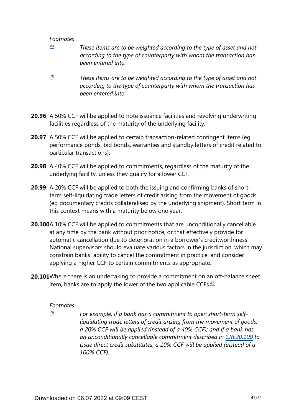- <span id="page-46-0"></span>*These items are to be weighted according to the type of asset and not according to the type of counterparty with whom the transaction has been entered into. [44](#page-45-1)*
- <span id="page-46-1"></span>*These items are to be weighted according to the type of asset and not according to the type of counterparty with whom the transaction has been entered into. [45](#page-45-2)*
- **20.96** A 50% CCF will be applied to note issuance facilities and revolving underwriting facilities regardless of the maturity of the underlying facility.
- **20.97** A 50% CCF will be applied to certain transaction-related contingent items (eg performance bonds, bid bonds, warranties and standby letters of credit related to particular transactions).
- **20.98** A 40% CCF will be applied to commitments, regardless of the maturity of the underlying facility, unless they qualify for a lower CCF.
- **20.99** A 20% CCF will be applied to both the issuing and confirming banks of shortterm self-liquidating trade letters of credit arising from the movement of goods (eg documentary credits collateralised by the underlying shipment). Short term in this context means with a maturity below one year.
- **20.100**A 10% CCF will be applied to commitments that are unconditionally cancellable at any time by the bank without prior notice, or that effectively provide for automatic cancellation due to deterioration in a borrower's creditworthiness. National supervisors should evaluate various factors in the jurisdiction, which may constrain banks' ability to cancel the commitment in practice, and consider applying a higher CCF to certain commitments as appropriate.
- <span id="page-46-3"></span><span id="page-46-2"></span>**20.101**Where there is an undertaking to provide a commitment on an off-balance sheet item, banks are to apply the lower of the two applicable CCFs. $46$

#### *Footnotes*

*[46](#page-46-3)*

*For example, if a bank has a commitment to open short-term selfliquidating trade letters of credit arising from the movement of goods, a 20% CCF will be applied (instead of a 40% CCF); and if a bank has an unconditionally cancellable commitment described in [CRE20.100](https://www.bis.org/basel_framework/chapter/CRE/20.htm?tldate=20281012&inforce=20230101&published=20201126#paragraph_CRE_20_20230101_20_100) to issue direct credit substitutes, a 10% CCF will be applied (instead of a 100% CCF).*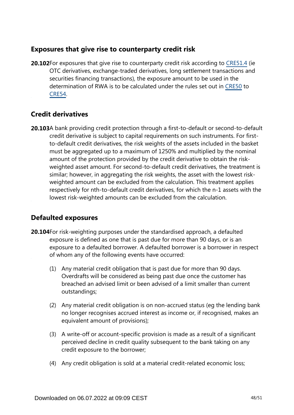# **Exposures that give rise to counterparty credit risk**

**20.102**For exposures that give rise to counterparty credit risk according to [CRE51.4](https://www.bis.org/basel_framework/chapter/CRE/51.htm?tldate=20281012&inforce=20230101&published=20200327#paragraph_CRE_51_20230101_51_4) (ie OTC derivatives, exchange-traded derivatives, long settlement transactions and securities financing transactions), the exposure amount to be used in the determination of RWA is to be calculated under the rules set out in [CRE50](https://www.bis.org/basel_framework/chapter/CRE/50.htm?tldate=20281012&inforce=20191215&published=20191215) to [CRE54.](https://www.bis.org/basel_framework/chapter/CRE/54.htm?tldate=20281012&inforce=20230101&published=20200327)

# **Credit derivatives**

**20.103**A bank providing credit protection through a first-to-default or second-to-default credit derivative is subject to capital requirements on such instruments. For firstto-default credit derivatives, the risk weights of the assets included in the basket must be aggregated up to a maximum of 1250% and multiplied by the nominal amount of the protection provided by the credit derivative to obtain the riskweighted asset amount. For second-to-default credit derivatives, the treatment is similar; however, in aggregating the risk weights, the asset with the lowest riskweighted amount can be excluded from the calculation. This treatment applies respectively for nth-to-default credit derivatives, for which the n-1 assets with the lowest risk-weighted amounts can be excluded from the calculation.

# **Defaulted exposures**

- **20.104** For risk-weighting purposes under the standardised approach, a defaulted exposure is defined as one that is past due for more than 90 days, or is an exposure to a defaulted borrower. A defaulted borrower is a borrower in respect of whom any of the following events have occurred:
	- (1) Any material credit obligation that is past due for more than 90 days. Overdrafts will be considered as being past due once the customer has breached an advised limit or been advised of a limit smaller than current outstandings;
	- (2) Any material credit obligation is on non-accrued status (eg the lending bank no longer recognises accrued interest as income or, if recognised, makes an equivalent amount of provisions);
	- (3) A write-off or account-specific provision is made as a result of a significant perceived decline in credit quality subsequent to the bank taking on any credit exposure to the borrower;
	- (4) Any credit obligation is sold at a material credit-related economic loss;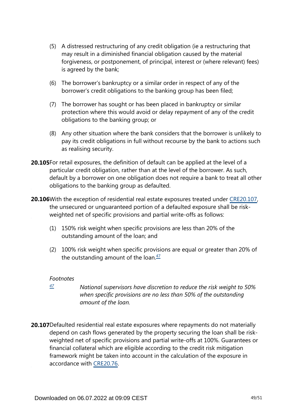- (5) A distressed restructuring of any credit obligation (ie a restructuring that may result in a diminished financial obligation caused by the material forgiveness, or postponement, of principal, interest or (where relevant) fees) is agreed by the bank;
- (6) The borrower's bankruptcy or a similar order in respect of any of the borrower's credit obligations to the banking group has been filed;
- (7) The borrower has sought or has been placed in bankruptcy or similar protection where this would avoid or delay repayment of any of the credit obligations to the banking group; or
- (8) Any other situation where the bank considers that the borrower is unlikely to pay its credit obligations in full without recourse by the bank to actions such as realising security.
- **20.105**For retail exposures, the definition of default can be applied at the level of a particular credit obligation, rather than at the level of the borrower. As such, default by a borrower on one obligation does not require a bank to treat all other obligations to the banking group as defaulted.
- **20.106** With the exception of residential real estate exposures treated under [CRE20.107,](https://www.bis.org/basel_framework/chapter/CRE/20.htm?tldate=20281012&inforce=20230101&published=20201126#paragraph_CRE_20_20230101_20_107) the unsecured or unguaranteed portion of a defaulted exposure shall be riskweighted net of specific provisions and partial write-offs as follows:
	- (1) 150% risk weight when specific provisions are less than 20% of the outstanding amount of the loan; and
	- (2) 100% risk weight when specific provisions are equal or greater than 20% of the outstanding amount of the loan. $\frac{47}{2}$  $\frac{47}{2}$  $\frac{47}{2}$

- <span id="page-48-1"></span><span id="page-48-0"></span>*National supervisors have discretion to reduce the risk weight to 50% when specific provisions are no less than 50% of the outstanding amount of the loan. [47](#page-48-1)*
- **20.107**Defaulted residential real estate exposures where repayments do not materially depend on cash flows generated by the property securing the loan shall be riskweighted net of specific provisions and partial write-offs at 100%. Guarantees or financial collateral which are eligible according to the credit risk mitigation framework might be taken into account in the calculation of the exposure in accordance with [CRE20.76](https://www.bis.org/basel_framework/chapter/CRE/20.htm?tldate=20281012&inforce=20230101&published=20201126#paragraph_CRE_20_20230101_20_76).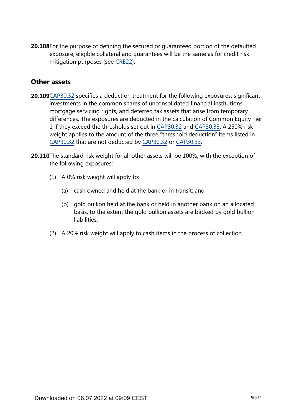**20.108**For the purpose of defining the secured or guaranteed portion of the defaulted exposure, eligible collateral and guarantees will be the same as for credit risk mitigation purposes (see [CRE22](https://www.bis.org/basel_framework/chapter/CRE/22.htm?tldate=20281012&inforce=20230101&published=20201126)).

# **Other assets**

- **20.109**[CAP30.32](https://www.bis.org/basel_framework/chapter/CAP/30.htm?tldate=20281012&inforce=20191215&published=20191215#paragraph_CAP_30_20191215_30_32) specifies a deduction treatment for the following exposures: significant investments in the common shares of unconsolidated financial institutions, mortgage servicing rights, and deferred tax assets that arise from temporary differences. The exposures are deducted in the calculation of Common Equity Tier 1 if they exceed the thresholds set out in [CAP30.32](https://www.bis.org/basel_framework/chapter/CAP/30.htm?tldate=20281012&inforce=20191215&published=20191215#paragraph_CAP_30_20191215_30_32) and [CAP30.33](https://www.bis.org/basel_framework/chapter/CAP/30.htm?tldate=20281012&inforce=20191215&published=20191215#paragraph_CAP_30_20191215_30_33). A 250% risk weight applies to the amount of the three "threshold deduction" items listed in [CAP30.32](https://www.bis.org/basel_framework/chapter/CAP/30.htm?tldate=20281012&inforce=20191215&published=20191215#paragraph_CAP_30_20191215_30_32) that are not deducted by [CAP30.32](https://www.bis.org/basel_framework/chapter/CAP/30.htm?tldate=20281012&inforce=20191215&published=20191215#paragraph_CAP_30_20191215_30_32) or [CAP30.33.](https://www.bis.org/basel_framework/chapter/CAP/30.htm?tldate=20281012&inforce=20191215&published=20191215#paragraph_CAP_30_20191215_30_33)
- **20.110**The standard risk weight for all other assets will be 100%, with the exception of the following exposures:
	- (1) A 0% risk weight will apply to:
		- (a) cash owned and held at the bank or in transit; and
		- (b) gold bullion held at the bank or held in another bank on an allocated basis, to the extent the gold bullion assets are backed by gold bullion liabilities.
	- (2) A 20% risk weight will apply to cash items in the process of collection.